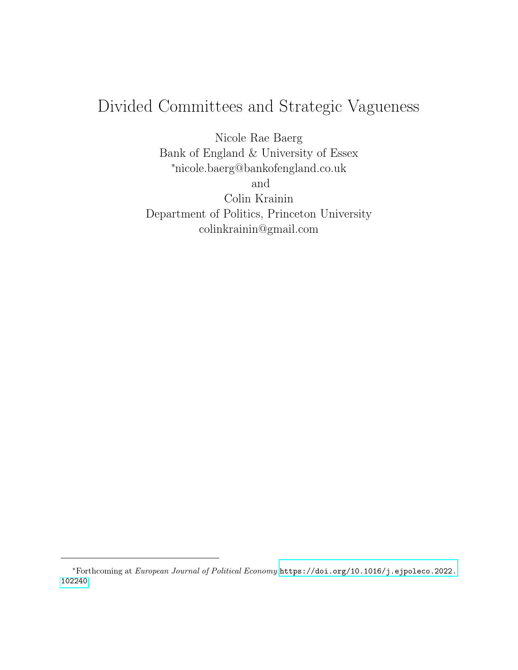# <span id="page-0-0"></span>Divided Committees and Strategic Vagueness

Nicole Rae Baerg Bank of England & University of Essex <sup>∗</sup>nicole.baerg@bankofengland.co.uk and Colin Krainin Department of Politics, Princeton University colinkrainin@gmail.com

<sup>∗</sup>Forthcoming at European Journal of Political Economy [https://doi.org/10.1016/j.ejpoleco.2022.](https://doi.org/10.1016/j.ejpoleco.2022.102240) [102240](https://doi.org/10.1016/j.ejpoleco.2022.102240)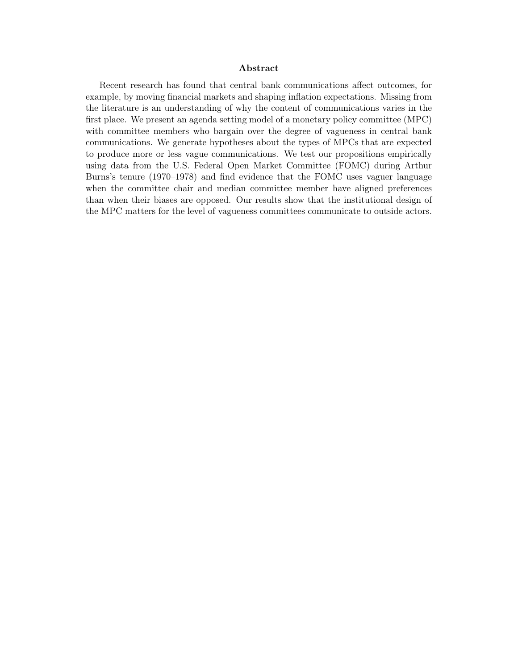### Abstract

Recent research has found that central bank communications affect outcomes, for example, by moving financial markets and shaping inflation expectations. Missing from the literature is an understanding of why the content of communications varies in the first place. We present an agenda setting model of a monetary policy committee (MPC) with committee members who bargain over the degree of vagueness in central bank communications. We generate hypotheses about the types of MPCs that are expected to produce more or less vague communications. We test our propositions empirically using data from the U.S. Federal Open Market Committee (FOMC) during Arthur Burns's tenure (1970–1978) and find evidence that the FOMC uses vaguer language when the committee chair and median committee member have aligned preferences than when their biases are opposed. Our results show that the institutional design of the MPC matters for the level of vagueness committees communicate to outside actors.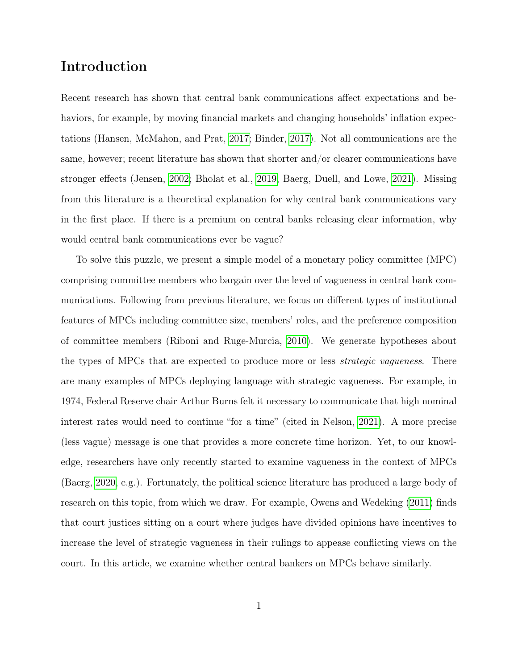# Introduction

Recent research has shown that central bank communications affect expectations and behaviors, for example, by moving financial markets and changing households' inflation expectations (Hansen, McMahon, and Prat, [2017;](#page-37-0) Binder, [2017\)](#page-36-0). Not all communications are the same, however; recent literature has shown that shorter and/or clearer communications have stronger effects (Jensen, [2002;](#page-38-0) Bholat et al., [2019;](#page-36-1) Baerg, Duell, and Lowe, [2021\)](#page-36-2). Missing from this literature is a theoretical explanation for why central bank communications vary in the first place. If there is a premium on central banks releasing clear information, why would central bank communications ever be vague?

To solve this puzzle, we present a simple model of a monetary policy committee (MPC) comprising committee members who bargain over the level of vagueness in central bank communications. Following from previous literature, we focus on different types of institutional features of MPCs including committee size, members' roles, and the preference composition of committee members (Riboni and Ruge-Murcia, [2010\)](#page-38-1). We generate hypotheses about the types of MPCs that are expected to produce more or less *strategic vagueness*. There are many examples of MPCs deploying language with strategic vagueness. For example, in 1974, Federal Reserve chair Arthur Burns felt it necessary to communicate that high nominal interest rates would need to continue "for a time" (cited in Nelson, [2021\)](#page-38-2). A more precise (less vague) message is one that provides a more concrete time horizon. Yet, to our knowledge, researchers have only recently started to examine vagueness in the context of MPCs (Baerg, [2020,](#page-36-3) e.g.). Fortunately, the political science literature has produced a large body of research on this topic, from which we draw. For example, Owens and Wedeking [\(2011\)](#page-38-3) finds that court justices sitting on a court where judges have divided opinions have incentives to increase the level of strategic vagueness in their rulings to appease conflicting views on the court. In this article, we examine whether central bankers on MPCs behave similarly.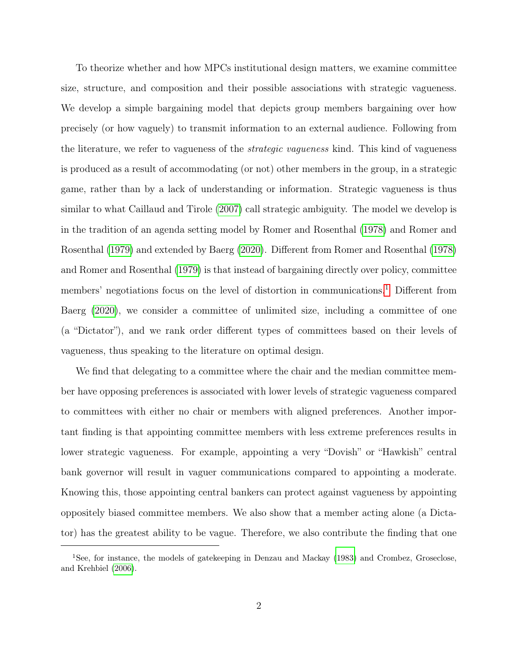To theorize whether and how MPCs institutional design matters, we examine committee size, structure, and composition and their possible associations with strategic vagueness. We develop a simple bargaining model that depicts group members bargaining over how precisely (or how vaguely) to transmit information to an external audience. Following from the literature, we refer to vagueness of the strategic vagueness kind. This kind of vagueness is produced as a result of accommodating (or not) other members in the group, in a strategic game, rather than by a lack of understanding or information. Strategic vagueness is thus similar to what Caillaud and Tirole [\(2007\)](#page-36-4) call strategic ambiguity. The model we develop is in the tradition of an agenda setting model by Romer and Rosenthal [\(1978\)](#page-38-4) and Romer and Rosenthal [\(1979\)](#page-38-5) and extended by Baerg [\(2020\)](#page-36-3). Different from Romer and Rosenthal [\(1978\)](#page-38-4) and Romer and Rosenthal [\(1979\)](#page-38-5) is that instead of bargaining directly over policy, committee members' negotiations focus on the level of distortion in communications.<sup>[1](#page-0-0)</sup> Different from Baerg [\(2020\)](#page-36-3), we consider a committee of unlimited size, including a committee of one (a "Dictator"), and we rank order different types of committees based on their levels of vagueness, thus speaking to the literature on optimal design.

We find that delegating to a committee where the chair and the median committee member have opposing preferences is associated with lower levels of strategic vagueness compared to committees with either no chair or members with aligned preferences. Another important finding is that appointing committee members with less extreme preferences results in lower strategic vagueness. For example, appointing a very "Dovish" or "Hawkish" central bank governor will result in vaguer communications compared to appointing a moderate. Knowing this, those appointing central bankers can protect against vagueness by appointing oppositely biased committee members. We also show that a member acting alone (a Dictator) has the greatest ability to be vague. Therefore, we also contribute the finding that one

<sup>&</sup>lt;sup>1</sup>See, for instance, the models of gatekeeping in Denzau and Mackay [\(1983\)](#page-37-1) and Crombez, Groseclose, and Krehbiel [\(2006\)](#page-37-2).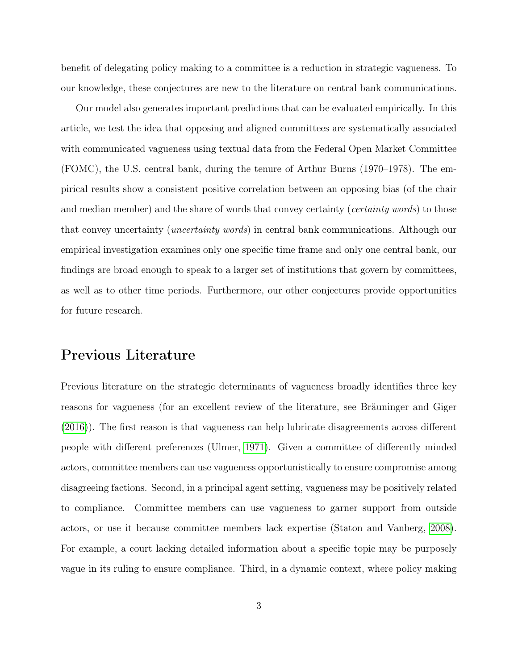benefit of delegating policy making to a committee is a reduction in strategic vagueness. To our knowledge, these conjectures are new to the literature on central bank communications.

Our model also generates important predictions that can be evaluated empirically. In this article, we test the idea that opposing and aligned committees are systematically associated with communicated vagueness using textual data from the Federal Open Market Committee (FOMC), the U.S. central bank, during the tenure of Arthur Burns (1970–1978). The empirical results show a consistent positive correlation between an opposing bias (of the chair and median member) and the share of words that convey certainty (*certainty words*) to those that convey uncertainty (uncertainty words) in central bank communications. Although our empirical investigation examines only one specific time frame and only one central bank, our findings are broad enough to speak to a larger set of institutions that govern by committees, as well as to other time periods. Furthermore, our other conjectures provide opportunities for future research.

# Previous Literature

Previous literature on the strategic determinants of vagueness broadly identifies three key reasons for vagueness (for an excellent review of the literature, see Bräuninger and Giger [\(2016\)](#page-36-5)). The first reason is that vagueness can help lubricate disagreements across different people with different preferences (Ulmer, [1971\)](#page-39-0). Given a committee of differently minded actors, committee members can use vagueness opportunistically to ensure compromise among disagreeing factions. Second, in a principal agent setting, vagueness may be positively related to compliance. Committee members can use vagueness to garner support from outside actors, or use it because committee members lack expertise (Staton and Vanberg, [2008\)](#page-39-1). For example, a court lacking detailed information about a specific topic may be purposely vague in its ruling to ensure compliance. Third, in a dynamic context, where policy making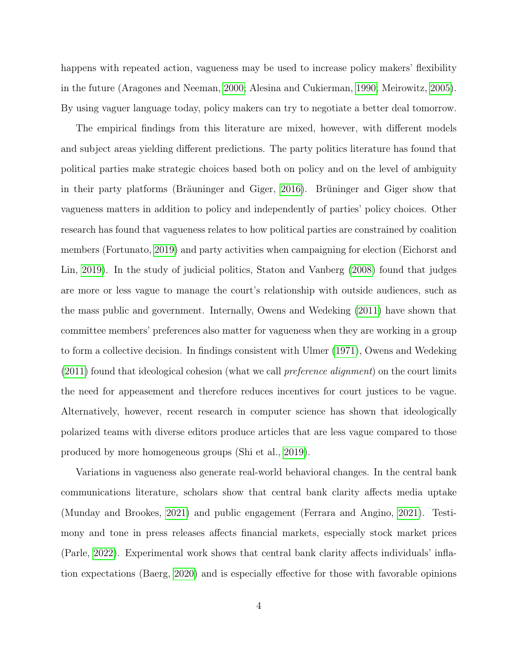happens with repeated action, vagueness may be used to increase policy makers' flexibility in the future (Aragones and Neeman, [2000;](#page-36-6) Alesina and Cukierman, [1990;](#page-36-7) Meirowitz, [2005\)](#page-38-6). By using vaguer language today, policy makers can try to negotiate a better deal tomorrow.

The empirical findings from this literature are mixed, however, with different models and subject areas yielding different predictions. The party politics literature has found that political parties make strategic choices based both on policy and on the level of ambiguity in their party platforms (Bräuninger and Giger, [2016\)](#page-36-5). Brüninger and Giger show that vagueness matters in addition to policy and independently of parties' policy choices. Other research has found that vagueness relates to how political parties are constrained by coalition members (Fortunato, [2019\)](#page-37-3) and party activities when campaigning for election (Eichorst and Lin, [2019\)](#page-37-4). In the study of judicial politics, Staton and Vanberg [\(2008\)](#page-39-1) found that judges are more or less vague to manage the court's relationship with outside audiences, such as the mass public and government. Internally, Owens and Wedeking [\(2011\)](#page-38-3) have shown that committee members' preferences also matter for vagueness when they are working in a group to form a collective decision. In findings consistent with Ulmer [\(1971\)](#page-39-0), Owens and Wedeking [\(2011\)](#page-38-3) found that ideological cohesion (what we call preference alignment) on the court limits the need for appeasement and therefore reduces incentives for court justices to be vague. Alternatively, however, recent research in computer science has shown that ideologically polarized teams with diverse editors produce articles that are less vague compared to those produced by more homogeneous groups (Shi et al., [2019\)](#page-39-2).

Variations in vagueness also generate real-world behavioral changes. In the central bank communications literature, scholars show that central bank clarity affects media uptake (Munday and Brookes, [2021\)](#page-38-7) and public engagement (Ferrara and Angino, [2021\)](#page-37-5). Testimony and tone in press releases affects financial markets, especially stock market prices (Parle, [2022\)](#page-38-8). Experimental work shows that central bank clarity affects individuals' inflation expectations (Baerg, [2020\)](#page-36-3) and is especially effective for those with favorable opinions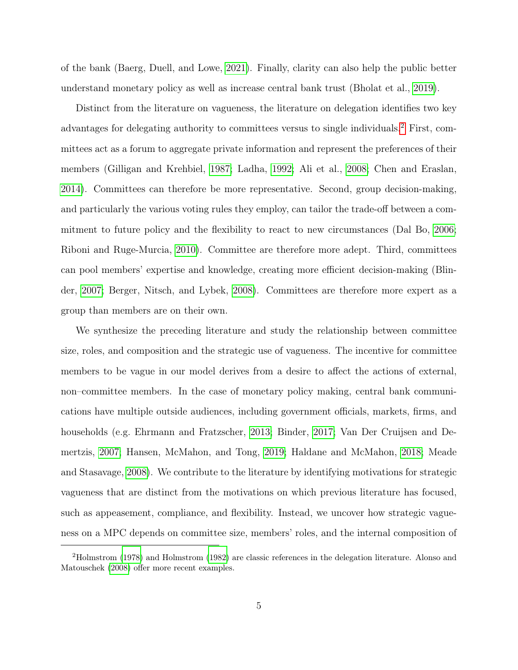of the bank (Baerg, Duell, and Lowe, [2021\)](#page-36-2). Finally, clarity can also help the public better understand monetary policy as well as increase central bank trust (Bholat et al., [2019\)](#page-36-1).

Distinct from the literature on vagueness, the literature on delegation identifies two key advantages for delegating authority to committees versus to single individuals.[2](#page-0-0) First, committees act as a forum to aggregate private information and represent the preferences of their members (Gilligan and Krehbiel, [1987;](#page-37-6) Ladha, [1992;](#page-38-9) Ali et al., [2008;](#page-36-8) Chen and Eraslan, [2014\)](#page-37-7). Committees can therefore be more representative. Second, group decision-making, and particularly the various voting rules they employ, can tailor the trade-off between a commitment to future policy and the flexibility to react to new circumstances (Dal Bo, [2006;](#page-37-8) Riboni and Ruge-Murcia, [2010\)](#page-38-1). Committee are therefore more adept. Third, committees can pool members' expertise and knowledge, creating more efficient decision-making (Blinder, [2007;](#page-36-9) Berger, Nitsch, and Lybek, [2008\)](#page-36-10). Committees are therefore more expert as a group than members are on their own.

We synthesize the preceding literature and study the relationship between committee size, roles, and composition and the strategic use of vagueness. The incentive for committee members to be vague in our model derives from a desire to affect the actions of external, non–committee members. In the case of monetary policy making, central bank communications have multiple outside audiences, including government officials, markets, firms, and households (e.g. Ehrmann and Fratzscher, [2013;](#page-37-9) Binder, [2017;](#page-36-0) Van Der Cruijsen and Demertzis, [2007;](#page-39-3) Hansen, McMahon, and Tong, [2019;](#page-38-10) Haldane and McMahon, [2018;](#page-37-10) Meade and Stasavage, [2008\)](#page-38-11). We contribute to the literature by identifying motivations for strategic vagueness that are distinct from the motivations on which previous literature has focused, such as appeasement, compliance, and flexibility. Instead, we uncover how strategic vagueness on a MPC depends on committee size, members' roles, and the internal composition of

<sup>&</sup>lt;sup>2</sup>Holmstrom [\(1978\)](#page-38-12) and Holmstrom [\(1982\)](#page-38-13) are classic references in the delegation literature. Alonso and Matouschek [\(2008\)](#page-36-11) offer more recent examples.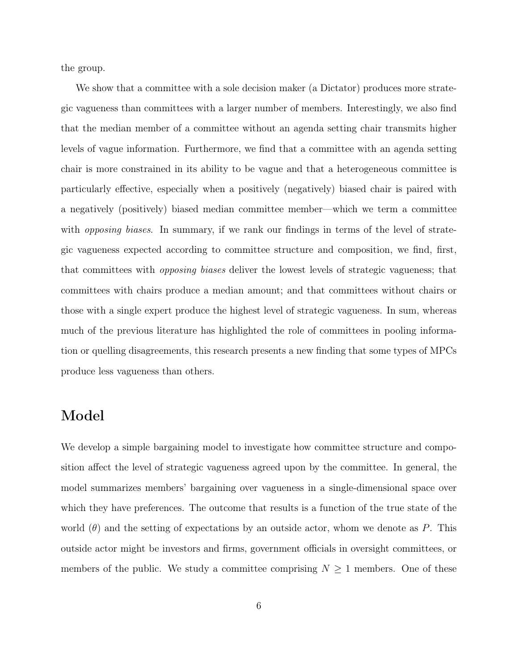the group.

We show that a committee with a sole decision maker (a Dictator) produces more strategic vagueness than committees with a larger number of members. Interestingly, we also find that the median member of a committee without an agenda setting chair transmits higher levels of vague information. Furthermore, we find that a committee with an agenda setting chair is more constrained in its ability to be vague and that a heterogeneous committee is particularly effective, especially when a positively (negatively) biased chair is paired with a negatively (positively) biased median committee member—which we term a committee with *opposing biases*. In summary, if we rank our findings in terms of the level of strategic vagueness expected according to committee structure and composition, we find, first, that committees with opposing biases deliver the lowest levels of strategic vagueness; that committees with chairs produce a median amount; and that committees without chairs or those with a single expert produce the highest level of strategic vagueness. In sum, whereas much of the previous literature has highlighted the role of committees in pooling information or quelling disagreements, this research presents a new finding that some types of MPCs produce less vagueness than others.

# Model

We develop a simple bargaining model to investigate how committee structure and composition affect the level of strategic vagueness agreed upon by the committee. In general, the model summarizes members' bargaining over vagueness in a single-dimensional space over which they have preferences. The outcome that results is a function of the true state of the world  $(\theta)$  and the setting of expectations by an outside actor, whom we denote as P. This outside actor might be investors and firms, government officials in oversight committees, or members of the public. We study a committee comprising  $N \geq 1$  members. One of these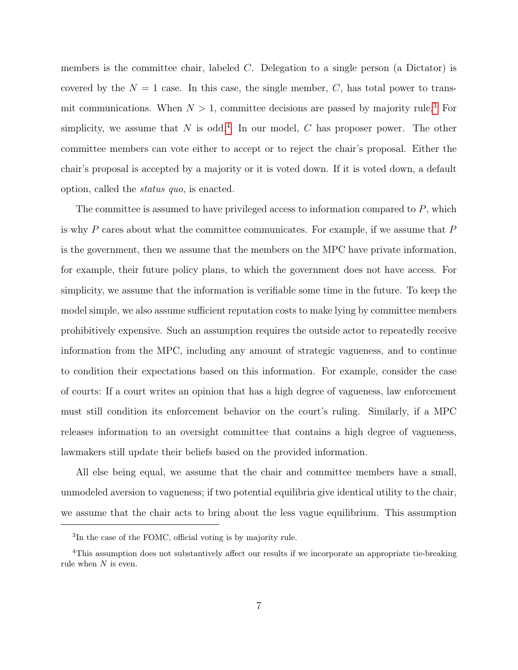members is the committee chair, labeled  $C$ . Delegation to a single person (a Dictator) is covered by the  $N = 1$  case. In this case, the single member, C, has total power to transmit communications. When  $N > 1$ , committee decisions are passed by majority rule.<sup>[3](#page-0-0)</sup> For simplicity, we assume that N is odd.<sup>[4](#page-0-0)</sup> In our model, C has proposer power. The other committee members can vote either to accept or to reject the chair's proposal. Either the chair's proposal is accepted by a majority or it is voted down. If it is voted down, a default option, called the status quo, is enacted.

The committee is assumed to have privileged access to information compared to  $P$ , which is why P cares about what the committee communicates. For example, if we assume that P is the government, then we assume that the members on the MPC have private information, for example, their future policy plans, to which the government does not have access. For simplicity, we assume that the information is verifiable some time in the future. To keep the model simple, we also assume sufficient reputation costs to make lying by committee members prohibitively expensive. Such an assumption requires the outside actor to repeatedly receive information from the MPC, including any amount of strategic vagueness, and to continue to condition their expectations based on this information. For example, consider the case of courts: If a court writes an opinion that has a high degree of vagueness, law enforcement must still condition its enforcement behavior on the court's ruling. Similarly, if a MPC releases information to an oversight committee that contains a high degree of vagueness, lawmakers still update their beliefs based on the provided information.

All else being equal, we assume that the chair and committee members have a small, unmodeled aversion to vagueness; if two potential equilibria give identical utility to the chair, we assume that the chair acts to bring about the less vague equilibrium. This assumption

<sup>3</sup> In the case of the FOMC, official voting is by majority rule.

<sup>4</sup>This assumption does not substantively affect our results if we incorporate an appropriate tie-breaking rule when  $N$  is even.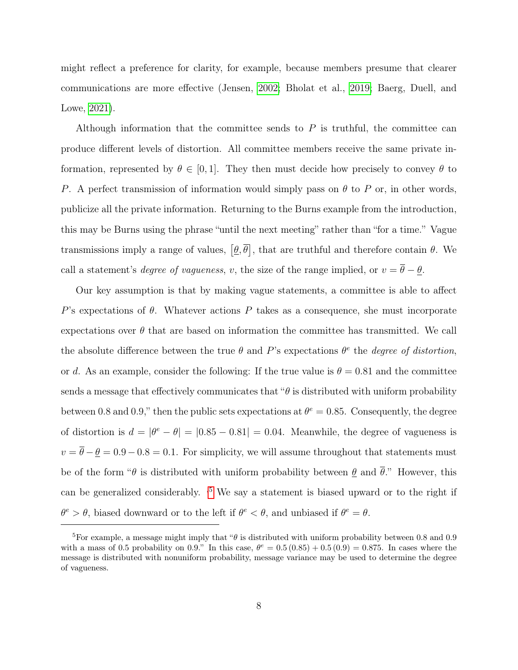might reflect a preference for clarity, for example, because members presume that clearer communications are more effective (Jensen, [2002;](#page-38-0) Bholat et al., [2019;](#page-36-1) Baerg, Duell, and Lowe, [2021\)](#page-36-2).

Although information that the committee sends to  $P$  is truthful, the committee can produce different levels of distortion. All committee members receive the same private information, represented by  $\theta \in [0, 1]$ . They then must decide how precisely to convey  $\theta$  to P. A perfect transmission of information would simply pass on  $\theta$  to P or, in other words, publicize all the private information. Returning to the Burns example from the introduction, this may be Burns using the phrase "until the next meeting" rather than "for a time." Vague transmissions imply a range of values,  $[\underline{\theta}, \overline{\theta}]$ , that are truthful and therefore contain  $\theta$ . We call a statement's *degree of vagueness*, v, the size of the range implied, or  $v = \overline{\theta} - \underline{\theta}$ .

Our key assumption is that by making vague statements, a committee is able to affect P's expectations of  $\theta$ . Whatever actions P takes as a consequence, she must incorporate expectations over  $\theta$  that are based on information the committee has transmitted. We call the absolute difference between the true  $\theta$  and P's expectations  $\theta^e$  the *degree of distortion*, or d. As an example, consider the following: If the true value is  $\theta = 0.81$  and the committee sends a message that effectively communicates that " $\theta$  is distributed with uniform probability between 0.8 and 0.9," then the public sets expectations at  $\theta^e = 0.85$ . Consequently, the degree of distortion is  $d = |\theta^e - \theta| = |0.85 - 0.81| = 0.04$ . Meanwhile, the degree of vagueness is  $v = \overline{\theta} - \underline{\theta} = 0.9 - 0.8 = 0.1$ . For simplicity, we will assume throughout that statements must be of the form "θ is distributed with uniform probability between  $\theta$  and  $\bar{\theta}$ ." However, this can be generalized considerably.  $5\text{ We say a statement is biased upward or to the right if}$  $5\text{ We say a statement is biased upward or to the right if}$  $\theta^e > \theta$ , biased downward or to the left if  $\theta^e < \theta$ , and unbiased if  $\theta^e = \theta$ .

<sup>&</sup>lt;sup>5</sup>For example, a message might imply that " $\theta$  is distributed with uniform probability between 0.8 and 0.9 with a mass of 0.5 probability on 0.9." In this case,  $\theta^e = 0.5 (0.85) + 0.5 (0.9) = 0.875$ . In cases where the message is distributed with nonuniform probability, message variance may be used to determine the degree of vagueness.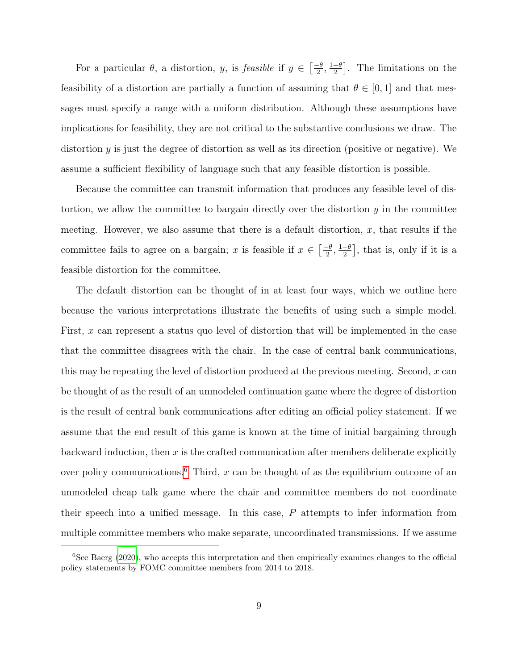For a particular  $\theta$ , a distortion, y, is *feasible* if  $y \in \left[\frac{-\theta}{2}\right]$  $\frac{-\theta}{2}, \frac{1-\theta}{2}$  $\frac{-\theta}{2}$ . The limitations on the feasibility of a distortion are partially a function of assuming that  $\theta \in [0,1]$  and that messages must specify a range with a uniform distribution. Although these assumptions have implications for feasibility, they are not critical to the substantive conclusions we draw. The distortion y is just the degree of distortion as well as its direction (positive or negative). We assume a sufficient flexibility of language such that any feasible distortion is possible.

Because the committee can transmit information that produces any feasible level of distortion, we allow the committee to bargain directly over the distortion  $y$  in the committee meeting. However, we also assume that there is a default distortion,  $x$ , that results if the committee fails to agree on a bargain; x is feasible if  $x \in \left[\frac{-\theta}{2}\right]$  $\frac{-\theta}{2}, \frac{1-\theta}{2}$  $\left[\frac{-\theta}{2}\right]$ , that is, only if it is a feasible distortion for the committee.

The default distortion can be thought of in at least four ways, which we outline here because the various interpretations illustrate the benefits of using such a simple model. First, x can represent a status quo level of distortion that will be implemented in the case that the committee disagrees with the chair. In the case of central bank communications, this may be repeating the level of distortion produced at the previous meeting. Second,  $x$  can be thought of as the result of an unmodeled continuation game where the degree of distortion is the result of central bank communications after editing an official policy statement. If we assume that the end result of this game is known at the time of initial bargaining through backward induction, then  $x$  is the crafted communication after members deliberate explicitly over policy communications.<sup>[6](#page-0-0)</sup> Third, x can be thought of as the equilibrium outcome of an unmodeled cheap talk game where the chair and committee members do not coordinate their speech into a unified message. In this case, P attempts to infer information from multiple committee members who make separate, uncoordinated transmissions. If we assume

 ${}^{6}$ See Baerg [\(2020\)](#page-36-3), who accepts this interpretation and then empirically examines changes to the official policy statements by FOMC committee members from 2014 to 2018.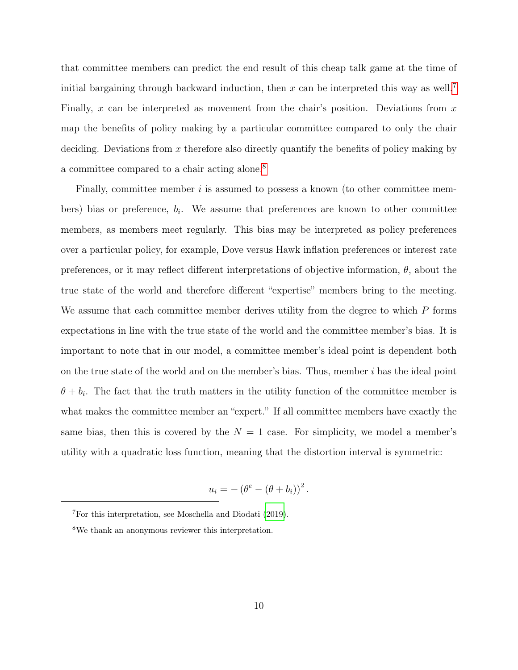that committee members can predict the end result of this cheap talk game at the time of initial bargaining through backward induction, then  $x$  can be interpreted this way as well.<sup>[7](#page-0-0)</sup> Finally, x can be interpreted as movement from the chair's position. Deviations from  $x$ map the benefits of policy making by a particular committee compared to only the chair deciding. Deviations from  $x$  therefore also directly quantify the benefits of policy making by a committee compared to a chair acting alone.<sup>[8](#page-0-0)</sup>

Finally, committee member i is assumed to possess a known (to other committee members) bias or preference,  $b_i$ . We assume that preferences are known to other committee members, as members meet regularly. This bias may be interpreted as policy preferences over a particular policy, for example, Dove versus Hawk inflation preferences or interest rate preferences, or it may reflect different interpretations of objective information,  $\theta$ , about the true state of the world and therefore different "expertise" members bring to the meeting. We assume that each committee member derives utility from the degree to which  $P$  forms expectations in line with the true state of the world and the committee member's bias. It is important to note that in our model, a committee member's ideal point is dependent both on the true state of the world and on the member's bias. Thus, member i has the ideal point  $\theta + b_i$ . The fact that the truth matters in the utility function of the committee member is what makes the committee member an "expert." If all committee members have exactly the same bias, then this is covered by the  $N = 1$  case. For simplicity, we model a member's utility with a quadratic loss function, meaning that the distortion interval is symmetric:

$$
u_i = -(\theta^e - (\theta + b_i))^2.
$$

<sup>7</sup>For this interpretation, see Moschella and Diodati [\(2019\)](#page-38-14).

<sup>8</sup>We thank an anonymous reviewer this interpretation.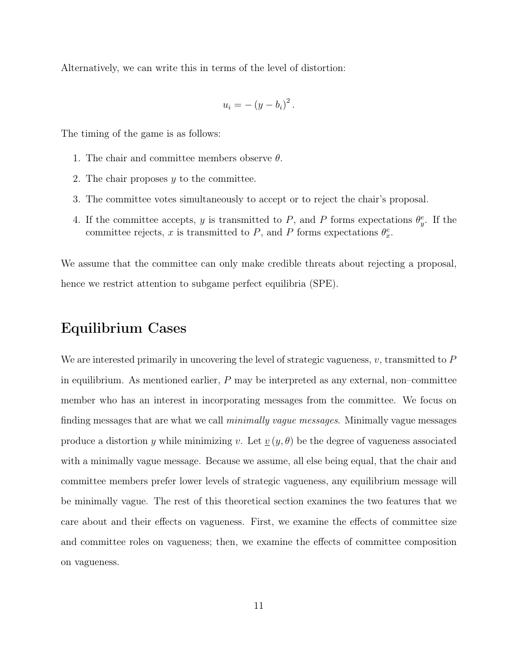Alternatively, we can write this in terms of the level of distortion:

$$
u_i = -\left(y - b_i\right)^2.
$$

The timing of the game is as follows:

- 1. The chair and committee members observe  $\theta$ .
- 2. The chair proposes  $y$  to the committee.
- 3. The committee votes simultaneously to accept or to reject the chair's proposal.
- 4. If the committee accepts, y is transmitted to P, and P forms expectations  $\theta_y^e$ . If the committee rejects, x is transmitted to P, and P forms expectations  $\theta_x^e$ .

We assume that the committee can only make credible threats about rejecting a proposal, hence we restrict attention to subgame perfect equilibria (SPE).

# Equilibrium Cases

We are interested primarily in uncovering the level of strategic vagueness,  $v$ , transmitted to  $P$ in equilibrium. As mentioned earlier,  $P$  may be interpreted as any external, non–committee member who has an interest in incorporating messages from the committee. We focus on finding messages that are what we call minimally vague messages. Minimally vague messages produce a distortion y while minimizing v. Let  $\underline{v}(y, \theta)$  be the degree of vagueness associated with a minimally vague message. Because we assume, all else being equal, that the chair and committee members prefer lower levels of strategic vagueness, any equilibrium message will be minimally vague. The rest of this theoretical section examines the two features that we care about and their effects on vagueness. First, we examine the effects of committee size and committee roles on vagueness; then, we examine the effects of committee composition on vagueness.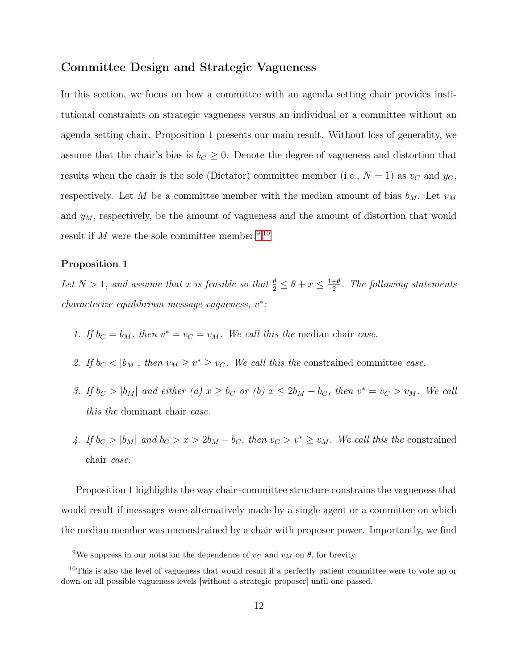# Committee Design and Strategic Vagueness

In this section, we focus on how a committee with an agenda setting chair provides institutional constraints on strategic vagueness versus an individual or a committee without an agenda setting chair. Proposition 1 presents our main result. Without loss of generality, we assume that the chair's bias is  $b<sub>C</sub> \geq 0$ . Denote the degree of vagueness and distortion that results when the chair is the sole (Dictator) committee member (i.e.,  $N = 1$ ) as  $v_C$  and  $y_C$ , respectively. Let M be a committee member with the median amount of bias  $b_M$ . Let  $v_M$ and  $y_M$ , respectively, be the amount of vagueness and the amount of distortion that would result if M were the sole committee member.<sup>[9](#page-0-0),[10](#page-0-0)</sup>

## Proposition 1

Let  $N > 1$ , and assume that x is feasible so that  $\frac{\theta}{2} \leq \theta + x \leq \frac{1+\theta}{2}$  $\frac{+ \theta}{2}$ . The following statements characterize equilibrium message vagueness, v ∗ :

- 1. If  $b_C = b_M$ , then  $v^* = v_C = v_M$ . We call this the median chair case.
- 2. If  $b_C < |b_M|$ , then  $v_M \ge v^* \ge v_C$ . We call this the constrained committee case.
- 3. If  $b_C > |b_M|$  and either (a)  $x \geq b_C$  or (b)  $x \leq 2b_M b_C$ , then  $v^* = v_C > v_M$ . We call this the dominant chair case.
- 4. If  $b_C > |b_M|$  and  $b_C > x > 2b_M b_C$ , then  $v_C > v^* \ge v_M$ . We call this the constrained chair case.

Proposition 1 highlights the way chair–committee structure constrains the vagueness that would result if messages were alternatively made by a single agent or a committee on which the median member was unconstrained by a chair with proposer power. Importantly, we find

<sup>&</sup>lt;sup>9</sup>We suppress in our notation the dependence of  $v<sub>C</sub>$  and  $v<sub>M</sub>$  on  $\theta$ , for brevity.

<sup>10</sup>This is also the level of vagueness that would result if a perfectly patient committee were to vote up or down on all possible vagueness levels [without a strategic proposer] until one passed.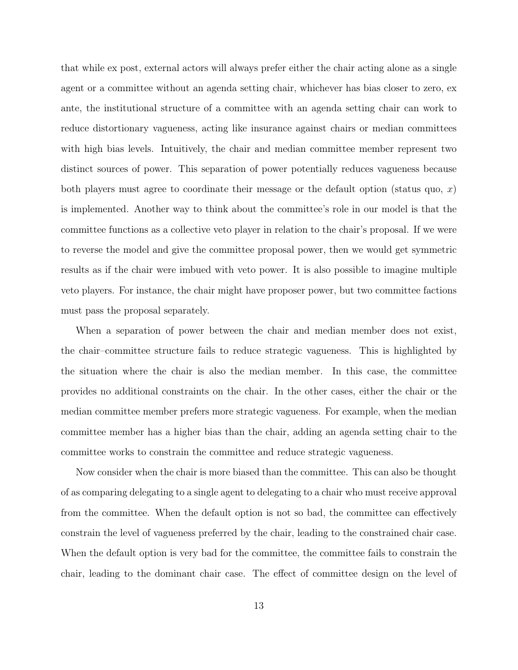that while ex post, external actors will always prefer either the chair acting alone as a single agent or a committee without an agenda setting chair, whichever has bias closer to zero, ex ante, the institutional structure of a committee with an agenda setting chair can work to reduce distortionary vagueness, acting like insurance against chairs or median committees with high bias levels. Intuitively, the chair and median committee member represent two distinct sources of power. This separation of power potentially reduces vagueness because both players must agree to coordinate their message or the default option (status quo, x) is implemented. Another way to think about the committee's role in our model is that the committee functions as a collective veto player in relation to the chair's proposal. If we were to reverse the model and give the committee proposal power, then we would get symmetric results as if the chair were imbued with veto power. It is also possible to imagine multiple veto players. For instance, the chair might have proposer power, but two committee factions must pass the proposal separately.

When a separation of power between the chair and median member does not exist, the chair–committee structure fails to reduce strategic vagueness. This is highlighted by the situation where the chair is also the median member. In this case, the committee provides no additional constraints on the chair. In the other cases, either the chair or the median committee member prefers more strategic vagueness. For example, when the median committee member has a higher bias than the chair, adding an agenda setting chair to the committee works to constrain the committee and reduce strategic vagueness.

Now consider when the chair is more biased than the committee. This can also be thought of as comparing delegating to a single agent to delegating to a chair who must receive approval from the committee. When the default option is not so bad, the committee can effectively constrain the level of vagueness preferred by the chair, leading to the constrained chair case. When the default option is very bad for the committee, the committee fails to constrain the chair, leading to the dominant chair case. The effect of committee design on the level of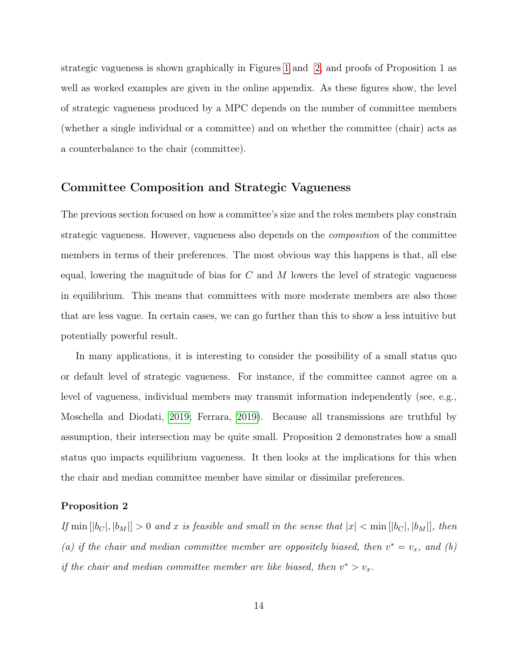strategic vagueness is shown graphically in Figures [1](#page-16-0) and [2,](#page-16-0) and proofs of Proposition 1 as well as worked examples are given in the online appendix. As these figures show, the level of strategic vagueness produced by a MPC depends on the number of committee members (whether a single individual or a committee) and on whether the committee (chair) acts as a counterbalance to the chair (committee).

# Committee Composition and Strategic Vagueness

The previous section focused on how a committee's size and the roles members play constrain strategic vagueness. However, vagueness also depends on the composition of the committee members in terms of their preferences. The most obvious way this happens is that, all else equal, lowering the magnitude of bias for  $C$  and  $M$  lowers the level of strategic vagueness in equilibrium. This means that committees with more moderate members are also those that are less vague. In certain cases, we can go further than this to show a less intuitive but potentially powerful result.

In many applications, it is interesting to consider the possibility of a small status quo or default level of strategic vagueness. For instance, if the committee cannot agree on a level of vagueness, individual members may transmit information independently (see, e.g., Moschella and Diodati, [2019;](#page-38-14) Ferrara, [2019\)](#page-37-11). Because all transmissions are truthful by assumption, their intersection may be quite small. Proposition 2 demonstrates how a small status quo impacts equilibrium vagueness. It then looks at the implications for this when the chair and median committee member have similar or dissimilar preferences.

# Proposition 2

If  $\min[|b_C|, |b_M|] > 0$  and x is feasible and small in the sense that  $|x| < \min[|b_C|, |b_M|]$ , then (a) if the chair and median committee member are oppositely biased, then  $v^* = v_x$ , and (b) if the chair and median committee member are like biased, then  $v^* > v_x$ .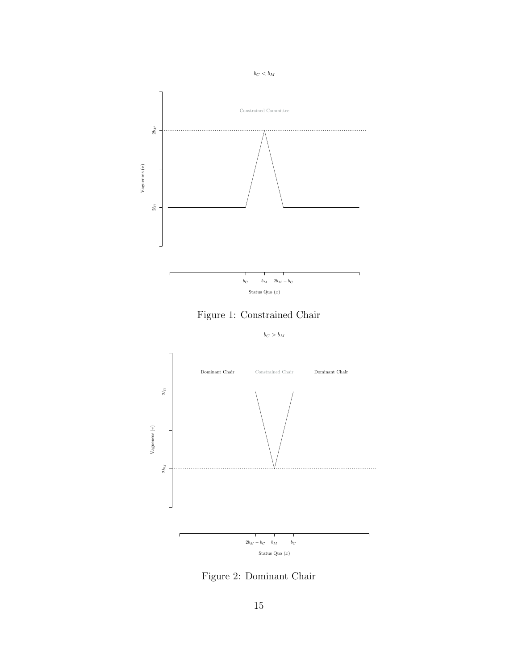<span id="page-16-0"></span>

Figure 1: Constrained Chair

 $b_C > b_M$ 



Figure 2: Dominant Chair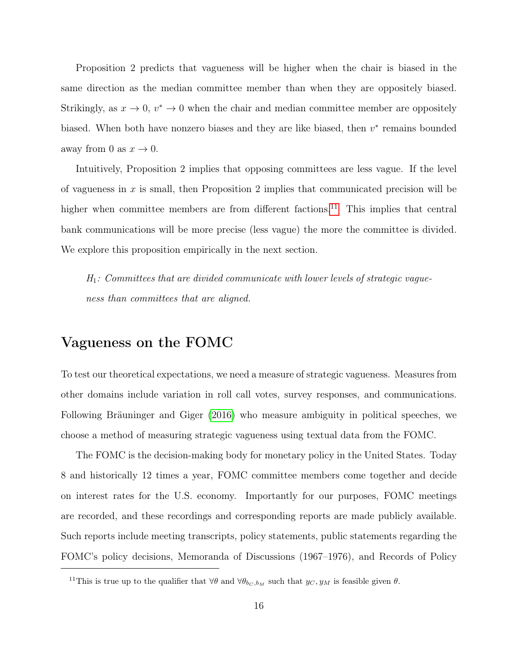Proposition 2 predicts that vagueness will be higher when the chair is biased in the same direction as the median committee member than when they are oppositely biased. Strikingly, as  $x \to 0$ ,  $v^* \to 0$  when the chair and median committee member are oppositely biased. When both have nonzero biases and they are like biased, then  $v^*$  remains bounded away from 0 as  $x \to 0$ .

Intuitively, Proposition 2 implies that opposing committees are less vague. If the level of vagueness in x is small, then Proposition 2 implies that communicated precision will be higher when committee members are from different factions.<sup>[11](#page-0-0)</sup> This implies that central bank communications will be more precise (less vague) the more the committee is divided. We explore this proposition empirically in the next section.

 $H_1$ : Committees that are divided communicate with lower levels of strategic vagueness than committees that are aligned.

# Vagueness on the FOMC

To test our theoretical expectations, we need a measure of strategic vagueness. Measures from other domains include variation in roll call votes, survey responses, and communications. Following Bräuninger and Giger [\(2016\)](#page-36-5) who measure ambiguity in political speeches, we choose a method of measuring strategic vagueness using textual data from the FOMC.

The FOMC is the decision-making body for monetary policy in the United States. Today 8 and historically 12 times a year, FOMC committee members come together and decide on interest rates for the U.S. economy. Importantly for our purposes, FOMC meetings are recorded, and these recordings and corresponding reports are made publicly available. Such reports include meeting transcripts, policy statements, public statements regarding the FOMC's policy decisions, Memoranda of Discussions (1967–1976), and Records of Policy

<sup>&</sup>lt;sup>11</sup>This is true up to the qualifier that  $\forall \theta$  and  $\forall \theta_{b_C, b_M}$  such that  $y_C, y_M$  is feasible given  $\theta$ .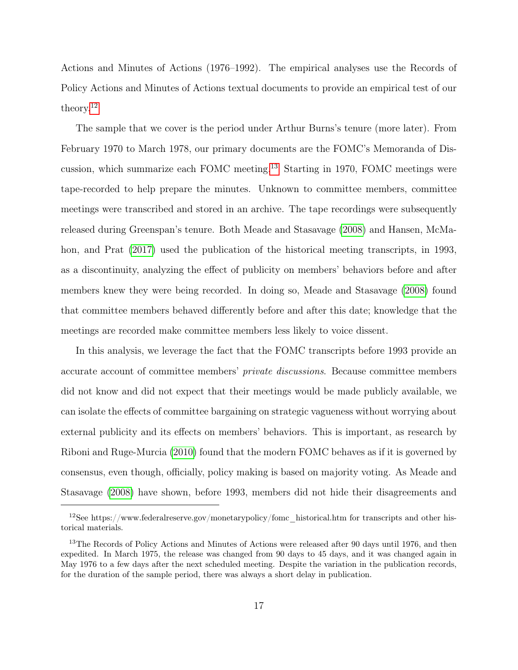Actions and Minutes of Actions (1976–1992). The empirical analyses use the Records of Policy Actions and Minutes of Actions textual documents to provide an empirical test of our theory.[12](#page-0-0)

The sample that we cover is the period under Arthur Burns's tenure (more later). From February 1970 to March 1978, our primary documents are the FOMC's Memoranda of Discussion, which summarize each FOMC meeting.[13](#page-0-0) Starting in 1970, FOMC meetings were tape-recorded to help prepare the minutes. Unknown to committee members, committee meetings were transcribed and stored in an archive. The tape recordings were subsequently released during Greenspan's tenure. Both Meade and Stasavage [\(2008\)](#page-38-11) and Hansen, McMahon, and Prat [\(2017\)](#page-37-0) used the publication of the historical meeting transcripts, in 1993, as a discontinuity, analyzing the effect of publicity on members' behaviors before and after members knew they were being recorded. In doing so, Meade and Stasavage [\(2008\)](#page-38-11) found that committee members behaved differently before and after this date; knowledge that the meetings are recorded make committee members less likely to voice dissent.

In this analysis, we leverage the fact that the FOMC transcripts before 1993 provide an accurate account of committee members' private discussions. Because committee members did not know and did not expect that their meetings would be made publicly available, we can isolate the effects of committee bargaining on strategic vagueness without worrying about external publicity and its effects on members' behaviors. This is important, as research by Riboni and Ruge-Murcia [\(2010\)](#page-38-1) found that the modern FOMC behaves as if it is governed by consensus, even though, officially, policy making is based on majority voting. As Meade and Stasavage [\(2008\)](#page-38-11) have shown, before 1993, members did not hide their disagreements and

<sup>&</sup>lt;sup>12</sup>See https://www.federalreserve.gov/monetarypolicy/fomc\_historical.htm for transcripts and other historical materials.

<sup>&</sup>lt;sup>13</sup>The Records of Policy Actions and Minutes of Actions were released after 90 days until 1976, and then expedited. In March 1975, the release was changed from 90 days to 45 days, and it was changed again in May 1976 to a few days after the next scheduled meeting. Despite the variation in the publication records, for the duration of the sample period, there was always a short delay in publication.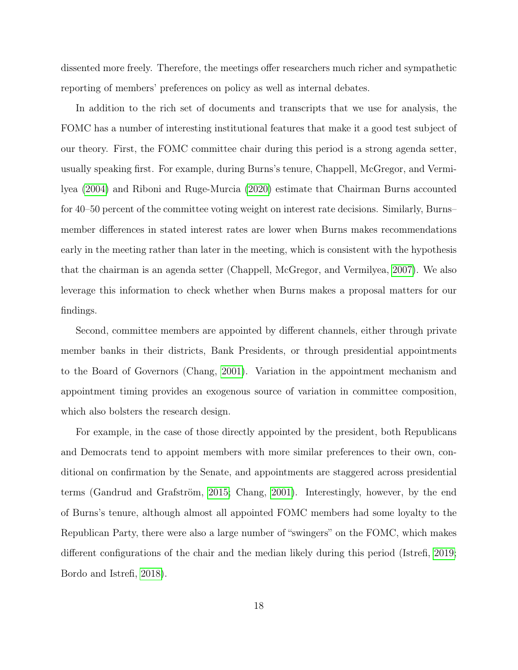dissented more freely. Therefore, the meetings offer researchers much richer and sympathetic reporting of members' preferences on policy as well as internal debates.

In addition to the rich set of documents and transcripts that we use for analysis, the FOMC has a number of interesting institutional features that make it a good test subject of our theory. First, the FOMC committee chair during this period is a strong agenda setter, usually speaking first. For example, during Burns's tenure, Chappell, McGregor, and Vermilyea [\(2004\)](#page-37-12) and Riboni and Ruge-Murcia [\(2020\)](#page-38-15) estimate that Chairman Burns accounted for 40–50 percent of the committee voting weight on interest rate decisions. Similarly, Burns– member differences in stated interest rates are lower when Burns makes recommendations early in the meeting rather than later in the meeting, which is consistent with the hypothesis that the chairman is an agenda setter (Chappell, McGregor, and Vermilyea, [2007\)](#page-37-13). We also leverage this information to check whether when Burns makes a proposal matters for our findings.

Second, committee members are appointed by different channels, either through private member banks in their districts, Bank Presidents, or through presidential appointments to the Board of Governors (Chang, [2001\)](#page-36-12). Variation in the appointment mechanism and appointment timing provides an exogenous source of variation in committee composition, which also bolsters the research design.

For example, in the case of those directly appointed by the president, both Republicans and Democrats tend to appoint members with more similar preferences to their own, conditional on confirmation by the Senate, and appointments are staggered across presidential terms (Gandrud and Grafström, [2015;](#page-37-14) Chang, [2001\)](#page-36-12). Interestingly, however, by the end of Burns's tenure, although almost all appointed FOMC members had some loyalty to the Republican Party, there were also a large number of "swingers" on the FOMC, which makes different configurations of the chair and the median likely during this period (Istrefi, [2019;](#page-38-16) Bordo and Istrefi, [2018\)](#page-36-13).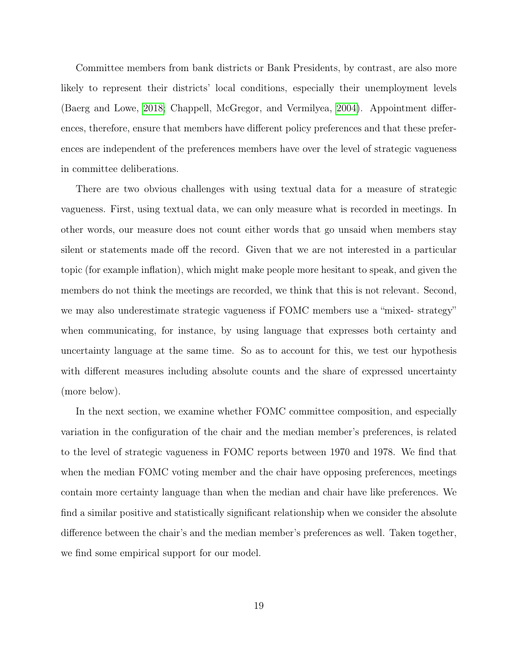Committee members from bank districts or Bank Presidents, by contrast, are also more likely to represent their districts' local conditions, especially their unemployment levels (Baerg and Lowe, [2018;](#page-36-14) Chappell, McGregor, and Vermilyea, [2004\)](#page-37-12). Appointment differences, therefore, ensure that members have different policy preferences and that these preferences are independent of the preferences members have over the level of strategic vagueness in committee deliberations.

There are two obvious challenges with using textual data for a measure of strategic vagueness. First, using textual data, we can only measure what is recorded in meetings. In other words, our measure does not count either words that go unsaid when members stay silent or statements made off the record. Given that we are not interested in a particular topic (for example inflation), which might make people more hesitant to speak, and given the members do not think the meetings are recorded, we think that this is not relevant. Second, we may also underestimate strategic vagueness if FOMC members use a "mixed- strategy" when communicating, for instance, by using language that expresses both certainty and uncertainty language at the same time. So as to account for this, we test our hypothesis with different measures including absolute counts and the share of expressed uncertainty (more below).

In the next section, we examine whether FOMC committee composition, and especially variation in the configuration of the chair and the median member's preferences, is related to the level of strategic vagueness in FOMC reports between 1970 and 1978. We find that when the median FOMC voting member and the chair have opposing preferences, meetings contain more certainty language than when the median and chair have like preferences. We find a similar positive and statistically significant relationship when we consider the absolute difference between the chair's and the median member's preferences as well. Taken together, we find some empirical support for our model.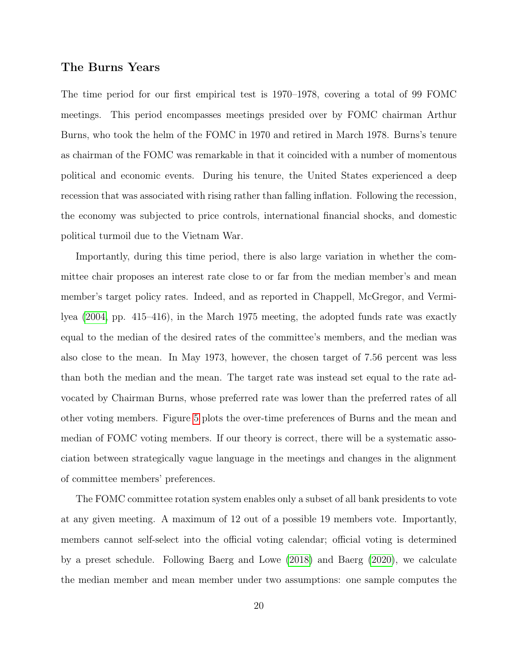# The Burns Years

The time period for our first empirical test is 1970–1978, covering a total of 99 FOMC meetings. This period encompasses meetings presided over by FOMC chairman Arthur Burns, who took the helm of the FOMC in 1970 and retired in March 1978. Burns's tenure as chairman of the FOMC was remarkable in that it coincided with a number of momentous political and economic events. During his tenure, the United States experienced a deep recession that was associated with rising rather than falling inflation. Following the recession, the economy was subjected to price controls, international financial shocks, and domestic political turmoil due to the Vietnam War.

Importantly, during this time period, there is also large variation in whether the committee chair proposes an interest rate close to or far from the median member's and mean member's target policy rates. Indeed, and as reported in Chappell, McGregor, and Vermilyea [\(2004,](#page-37-12) pp. 415–416), in the March 1975 meeting, the adopted funds rate was exactly equal to the median of the desired rates of the committee's members, and the median was also close to the mean. In May 1973, however, the chosen target of 7.56 percent was less than both the median and the mean. The target rate was instead set equal to the rate advocated by Chairman Burns, whose preferred rate was lower than the preferred rates of all other voting members. Figure [5](#page-26-0) plots the over-time preferences of Burns and the mean and median of FOMC voting members. If our theory is correct, there will be a systematic association between strategically vague language in the meetings and changes in the alignment of committee members' preferences.

The FOMC committee rotation system enables only a subset of all bank presidents to vote at any given meeting. A maximum of 12 out of a possible 19 members vote. Importantly, members cannot self-select into the official voting calendar; official voting is determined by a preset schedule. Following Baerg and Lowe [\(2018\)](#page-36-14) and Baerg [\(2020\)](#page-36-3), we calculate the median member and mean member under two assumptions: one sample computes the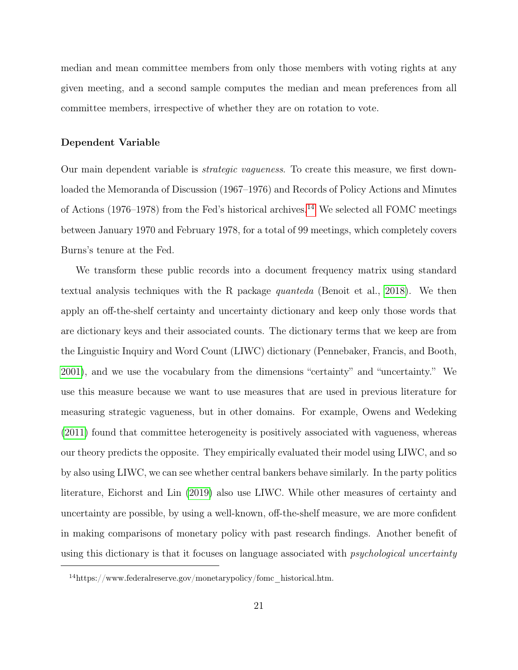median and mean committee members from only those members with voting rights at any given meeting, and a second sample computes the median and mean preferences from all committee members, irrespective of whether they are on rotation to vote.

### Dependent Variable

Our main dependent variable is strategic vagueness. To create this measure, we first downloaded the Memoranda of Discussion (1967–1976) and Records of Policy Actions and Minutes of Actions (1976–1978) from the Fed's historical archives.<sup>[14](#page-0-0)</sup> We selected all FOMC meetings between January 1970 and February 1978, for a total of 99 meetings, which completely covers Burns's tenure at the Fed.

We transform these public records into a document frequency matrix using standard textual analysis techniques with the R package quanteda (Benoit et al., [2018\)](#page-36-15). We then apply an off-the-shelf certainty and uncertainty dictionary and keep only those words that are dictionary keys and their associated counts. The dictionary terms that we keep are from the Linguistic Inquiry and Word Count (LIWC) dictionary (Pennebaker, Francis, and Booth, [2001\)](#page-38-17), and we use the vocabulary from the dimensions "certainty" and "uncertainty." We use this measure because we want to use measures that are used in previous literature for measuring strategic vagueness, but in other domains. For example, Owens and Wedeking [\(2011\)](#page-38-3) found that committee heterogeneity is positively associated with vagueness, whereas our theory predicts the opposite. They empirically evaluated their model using LIWC, and so by also using LIWC, we can see whether central bankers behave similarly. In the party politics literature, Eichorst and Lin [\(2019\)](#page-37-4) also use LIWC. While other measures of certainty and uncertainty are possible, by using a well-known, off-the-shelf measure, we are more confident in making comparisons of monetary policy with past research findings. Another benefit of using this dictionary is that it focuses on language associated with *psychological uncertainty* 

 $14$ https://www.federalreserve.gov/monetarypolicy/fomc\_historical.htm.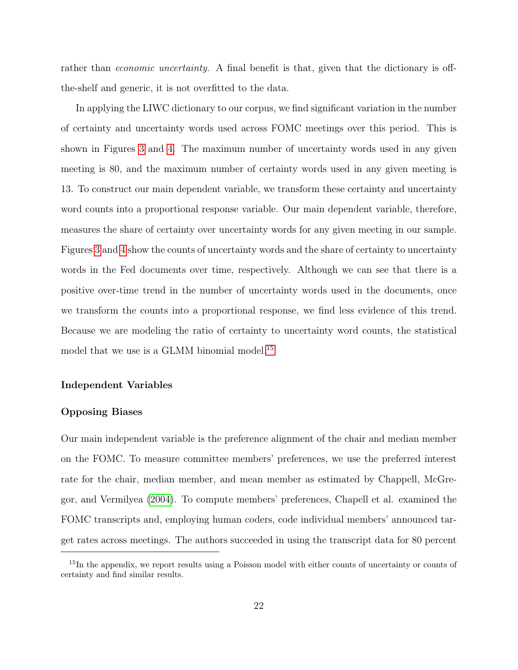rather than *economic uncertainty*. A final benefit is that, given that the dictionary is offthe-shelf and generic, it is not overfitted to the data.

In applying the LIWC dictionary to our corpus, we find significant variation in the number of certainty and uncertainty words used across FOMC meetings over this period. This is shown in Figures [3](#page-24-0) and [4.](#page-24-0) The maximum number of uncertainty words used in any given meeting is 80, and the maximum number of certainty words used in any given meeting is 13. To construct our main dependent variable, we transform these certainty and uncertainty word counts into a proportional response variable. Our main dependent variable, therefore, measures the share of certainty over uncertainty words for any given meeting in our sample. Figures [3](#page-24-0) and [4](#page-24-0) show the counts of uncertainty words and the share of certainty to uncertainty words in the Fed documents over time, respectively. Although we can see that there is a positive over-time trend in the number of uncertainty words used in the documents, once we transform the counts into a proportional response, we find less evidence of this trend. Because we are modeling the ratio of certainty to uncertainty word counts, the statistical model that we use is a GLMM binomial model.<sup>[15](#page-0-0)</sup>

## Independent Variables

### Opposing Biases

Our main independent variable is the preference alignment of the chair and median member on the FOMC. To measure committee members' preferences, we use the preferred interest rate for the chair, median member, and mean member as estimated by Chappell, McGregor, and Vermilyea [\(2004\)](#page-37-12). To compute members' preferences, Chapell et al. examined the FOMC transcripts and, employing human coders, code individual members' announced target rates across meetings. The authors succeeded in using the transcript data for 80 percent

<sup>&</sup>lt;sup>15</sup>In the appendix, we report results using a Poisson model with either counts of uncertainty or counts of certainty and find similar results.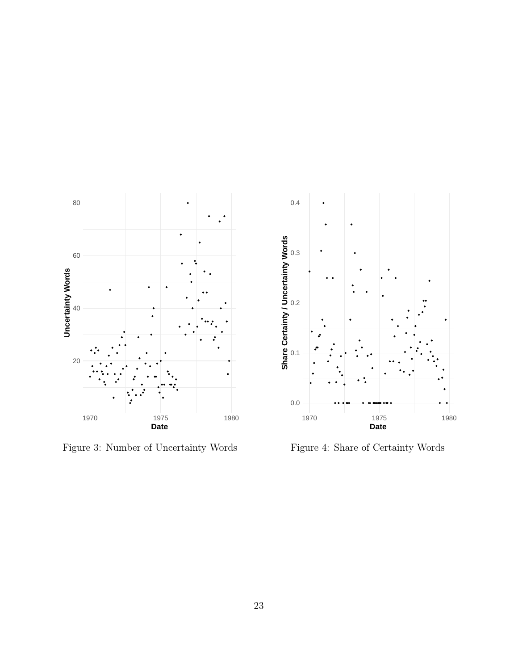<span id="page-24-0"></span>

Figure 3: Number of Uncertainty Words

Figure 4: Share of Certainty Words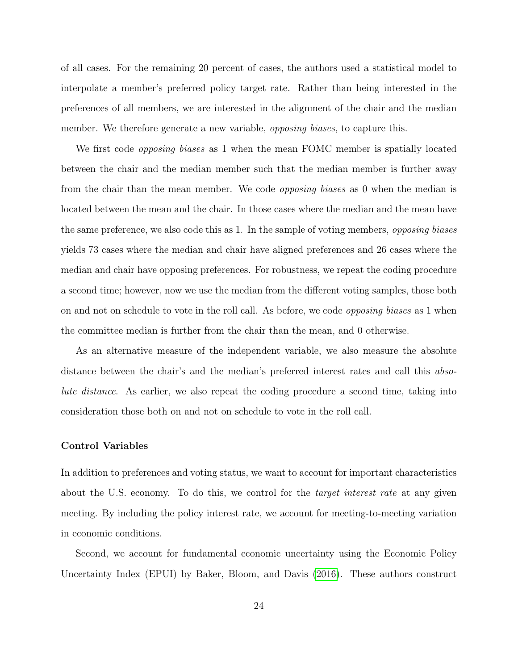of all cases. For the remaining 20 percent of cases, the authors used a statistical model to interpolate a member's preferred policy target rate. Rather than being interested in the preferences of all members, we are interested in the alignment of the chair and the median member. We therefore generate a new variable, *opposing biases*, to capture this.

We first code opposing biases as 1 when the mean FOMC member is spatially located between the chair and the median member such that the median member is further away from the chair than the mean member. We code opposing biases as 0 when the median is located between the mean and the chair. In those cases where the median and the mean have the same preference, we also code this as 1. In the sample of voting members, opposing biases yields 73 cases where the median and chair have aligned preferences and 26 cases where the median and chair have opposing preferences. For robustness, we repeat the coding procedure a second time; however, now we use the median from the different voting samples, those both on and not on schedule to vote in the roll call. As before, we code opposing biases as 1 when the committee median is further from the chair than the mean, and 0 otherwise.

As an alternative measure of the independent variable, we also measure the absolute distance between the chair's and the median's preferred interest rates and call this absolute distance. As earlier, we also repeat the coding procedure a second time, taking into consideration those both on and not on schedule to vote in the roll call.

# Control Variables

In addition to preferences and voting status, we want to account for important characteristics about the U.S. economy. To do this, we control for the *target interest rate* at any given meeting. By including the policy interest rate, we account for meeting-to-meeting variation in economic conditions.

Second, we account for fundamental economic uncertainty using the Economic Policy Uncertainty Index (EPUI) by Baker, Bloom, and Davis [\(2016\)](#page-36-16). These authors construct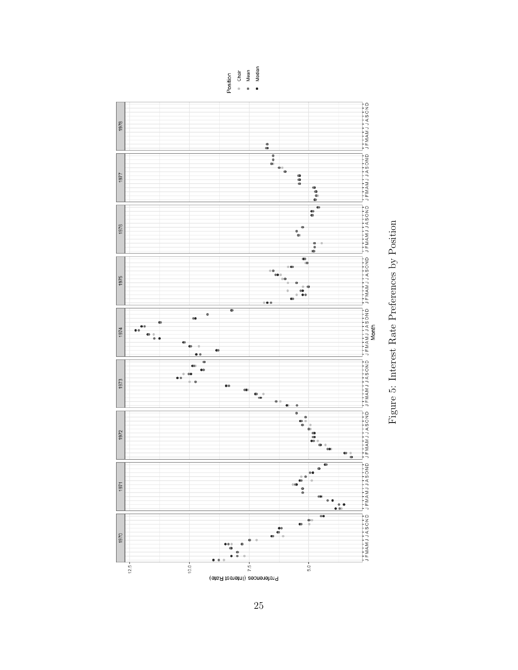<span id="page-26-0"></span>



25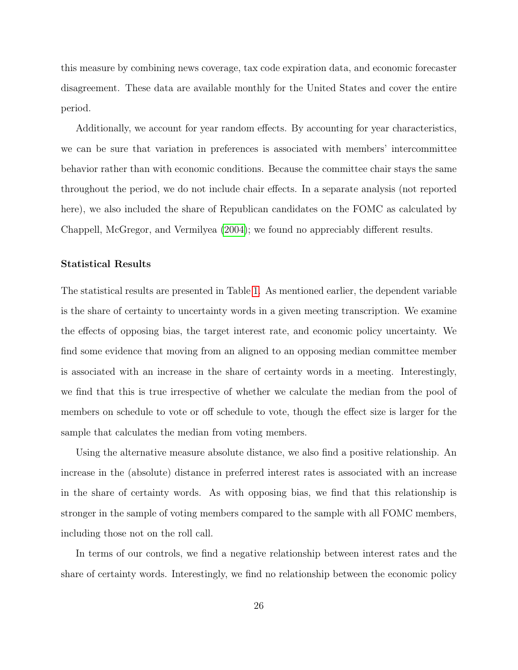this measure by combining news coverage, tax code expiration data, and economic forecaster disagreement. These data are available monthly for the United States and cover the entire period.

Additionally, we account for year random effects. By accounting for year characteristics, we can be sure that variation in preferences is associated with members' intercommittee behavior rather than with economic conditions. Because the committee chair stays the same throughout the period, we do not include chair effects. In a separate analysis (not reported here), we also included the share of Republican candidates on the FOMC as calculated by Chappell, McGregor, and Vermilyea [\(2004\)](#page-37-12); we found no appreciably different results.

## Statistical Results

The statistical results are presented in Table [1.](#page-28-0) As mentioned earlier, the dependent variable is the share of certainty to uncertainty words in a given meeting transcription. We examine the effects of opposing bias, the target interest rate, and economic policy uncertainty. We find some evidence that moving from an aligned to an opposing median committee member is associated with an increase in the share of certainty words in a meeting. Interestingly, we find that this is true irrespective of whether we calculate the median from the pool of members on schedule to vote or off schedule to vote, though the effect size is larger for the sample that calculates the median from voting members.

Using the alternative measure absolute distance, we also find a positive relationship. An increase in the (absolute) distance in preferred interest rates is associated with an increase in the share of certainty words. As with opposing bias, we find that this relationship is stronger in the sample of voting members compared to the sample with all FOMC members, including those not on the roll call.

In terms of our controls, we find a negative relationship between interest rates and the share of certainty words. Interestingly, we find no relationship between the economic policy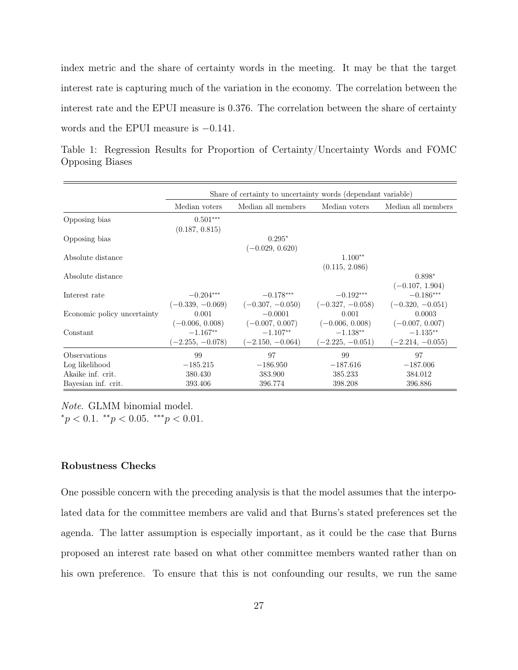index metric and the share of certainty words in the meeting. It may be that the target interest rate is capturing much of the variation in the economy. The correlation between the interest rate and the EPUI measure is 0.376. The correlation between the share of certainty words and the EPUI measure is −0.141.

<span id="page-28-0"></span>Table 1: Regression Results for Proportion of Certainty/Uncertainty Words and FOMC Opposing Biases

|                             | Share of certainty to uncertainty words (dependant variable) |                                   |                                   |                                   |
|-----------------------------|--------------------------------------------------------------|-----------------------------------|-----------------------------------|-----------------------------------|
|                             | Median voters                                                | Median all members                | Median voters                     | Median all members                |
| Opposing bias               | $0.501***$<br>(0.187, 0.815)                                 |                                   |                                   |                                   |
| Opposing bias               |                                                              | $0.295*$<br>$(-0.029, 0.620)$     |                                   |                                   |
| Absolute distance           |                                                              |                                   | $1.100**$<br>(0.115, 2.086)       |                                   |
| Absolute distance           |                                                              |                                   |                                   | $0.898*$<br>$(-0.107, 1.904)$     |
| Interest rate               | $-0.204***$<br>$(-0.339, -0.069)$                            | $-0.178***$<br>$(-0.307, -0.050)$ | $-0.192***$<br>$(-0.327, -0.058)$ | $-0.186***$<br>$(-0.320, -0.051)$ |
| Economic policy uncertainty | 0.001<br>$(-0.006, 0.008)$                                   | $-0.0001$<br>$(-0.007, 0.007)$    | 0.001<br>$(-0.006, 0.008)$        | 0.0003<br>$(-0.007, 0.007)$       |
| Constant                    | $-1.167**$<br>$[-2.255, -0.078]$                             | $-1.107**$<br>$(-2.150, -0.064)$  | $-1.138**$<br>$(-2.225, -0.051)$  | $-1.135**$<br>$(-2.214, -0.055)$  |
| Observations                | 99                                                           | 97                                | 99                                | 97                                |
| Log likelihood              | $-185.215$                                                   | $-186.950$                        | $-187.616$                        | $-187.006$                        |
| Akaike inf. crit.           | 380.430                                                      | 383.900                           | 385.233                           | 384.012                           |
| Bayesian inf. crit.         | 393.406                                                      | 396.774                           | 398.208                           | 396.886                           |

Note. GLMM binomial model.  $\gamma^* p < 0.1. \gamma^* p < 0.05. \gamma^* p < 0.01.$ 

# Robustness Checks

One possible concern with the preceding analysis is that the model assumes that the interpolated data for the committee members are valid and that Burns's stated preferences set the agenda. The latter assumption is especially important, as it could be the case that Burns proposed an interest rate based on what other committee members wanted rather than on his own preference. To ensure that this is not confounding our results, we run the same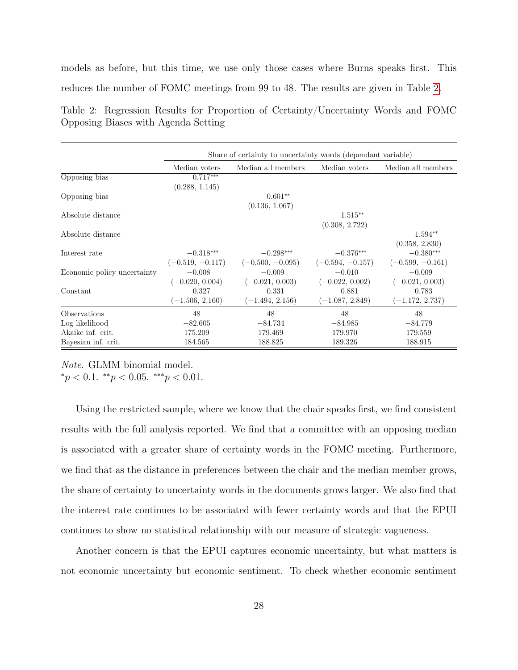models as before, but this time, we use only those cases where Burns speaks first. This reduces the number of FOMC meetings from 99 to 48. The results are given in Table [2.](#page-29-0)

<span id="page-29-0"></span>Table 2: Regression Results for Proportion of Certainty/Uncertainty Words and FOMC Opposing Biases with Agenda Setting

|                             | Share of certainty to uncertainty words (dependant variable) |                                                 |                                                 |                                                 |
|-----------------------------|--------------------------------------------------------------|-------------------------------------------------|-------------------------------------------------|-------------------------------------------------|
|                             | Median voters                                                | Median all members                              | Median voters                                   | Median all members                              |
| Opposing bias               | $0.717***$<br>(0.288, 1.145)                                 |                                                 |                                                 |                                                 |
| Opposing bias               |                                                              | $0.601**$<br>(0.136, 1.067)                     |                                                 |                                                 |
| Absolute distance           |                                                              |                                                 | $1.515***$<br>(0.308, 2.722)                    |                                                 |
| Absolute distance           |                                                              |                                                 |                                                 | $1.594**$<br>(0.358, 2.830)                     |
| Interest rate               | $-0.318***$                                                  | $-0.298***$                                     | $-0.376***$                                     | $-0.380***$                                     |
| Economic policy uncertainty | $(-0.519, -0.117)$<br>$-0.008$                               | $(-0.500, -0.095)$<br>$-0.009$                  | $(-0.594, -0.157)$<br>$-0.010$                  | $(-0.599, -0.161)$<br>$-0.009$                  |
| Constant                    | $(-0.020, 0.004)$<br>0.327<br>$(-1.506, 2.160)$              | $(-0.021, 0.003)$<br>0.331<br>$(-1.494, 2.156)$ | $(-0.022, 0.002)$<br>0.881<br>$(-1.087, 2.849)$ | $(-0.021, 0.003)$<br>0.783<br>$(-1.172, 2.737)$ |
| Observations                | 48                                                           | 48                                              | 48                                              | 48                                              |
| Log likelihood              | $-82.605$                                                    | $-84.734$                                       | $-84.985$                                       | $-84.779$                                       |
| Akaike inf. crit.           | 175.209                                                      | 179.469                                         | 179.970                                         | 179.559                                         |
| Bayesian inf. crit.         | 184.565                                                      | 188.825                                         | 189.326                                         | 188.915                                         |

Note. GLMM binomial model.  ${}^*p < 0.1.$   ${}^{**}p < 0.05.$   ${}^{***}p < 0.01.$ 

Using the restricted sample, where we know that the chair speaks first, we find consistent results with the full analysis reported. We find that a committee with an opposing median is associated with a greater share of certainty words in the FOMC meeting. Furthermore, we find that as the distance in preferences between the chair and the median member grows, the share of certainty to uncertainty words in the documents grows larger. We also find that the interest rate continues to be associated with fewer certainty words and that the EPUI continues to show no statistical relationship with our measure of strategic vagueness.

Another concern is that the EPUI captures economic uncertainty, but what matters is not economic uncertainty but economic sentiment. To check whether economic sentiment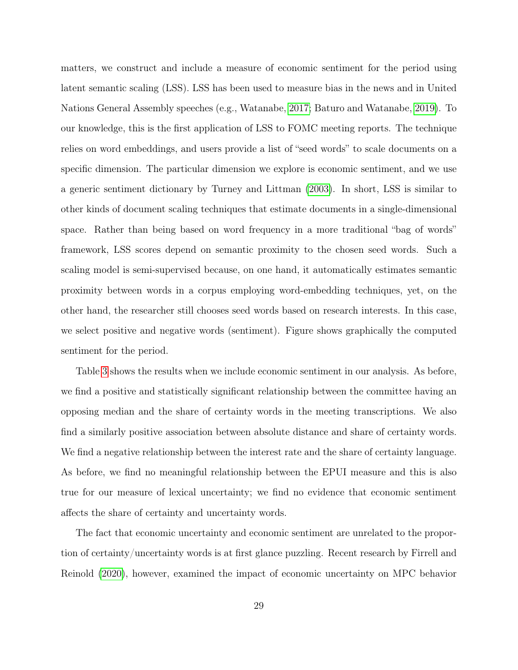matters, we construct and include a measure of economic sentiment for the period using latent semantic scaling (LSS). LSS has been used to measure bias in the news and in United Nations General Assembly speeches (e.g., Watanabe, [2017;](#page-39-4) Baturo and Watanabe, [2019\)](#page-36-17). To our knowledge, this is the first application of LSS to FOMC meeting reports. The technique relies on word embeddings, and users provide a list of "seed words" to scale documents on a specific dimension. The particular dimension we explore is economic sentiment, and we use a generic sentiment dictionary by Turney and Littman [\(2003\)](#page-39-5). In short, LSS is similar to other kinds of document scaling techniques that estimate documents in a single-dimensional space. Rather than being based on word frequency in a more traditional "bag of words" framework, LSS scores depend on semantic proximity to the chosen seed words. Such a scaling model is semi-supervised because, on one hand, it automatically estimates semantic proximity between words in a corpus employing word-embedding techniques, yet, on the other hand, the researcher still chooses seed words based on research interests. In this case, we select positive and negative words (sentiment). Figure shows graphically the computed sentiment for the period.

Table [3](#page-32-0) shows the results when we include economic sentiment in our analysis. As before, we find a positive and statistically significant relationship between the committee having an opposing median and the share of certainty words in the meeting transcriptions. We also find a similarly positive association between absolute distance and share of certainty words. We find a negative relationship between the interest rate and the share of certainty language. As before, we find no meaningful relationship between the EPUI measure and this is also true for our measure of lexical uncertainty; we find no evidence that economic sentiment affects the share of certainty and uncertainty words.

The fact that economic uncertainty and economic sentiment are unrelated to the proportion of certainty/uncertainty words is at first glance puzzling. Recent research by Firrell and Reinold [\(2020\)](#page-37-15), however, examined the impact of economic uncertainty on MPC behavior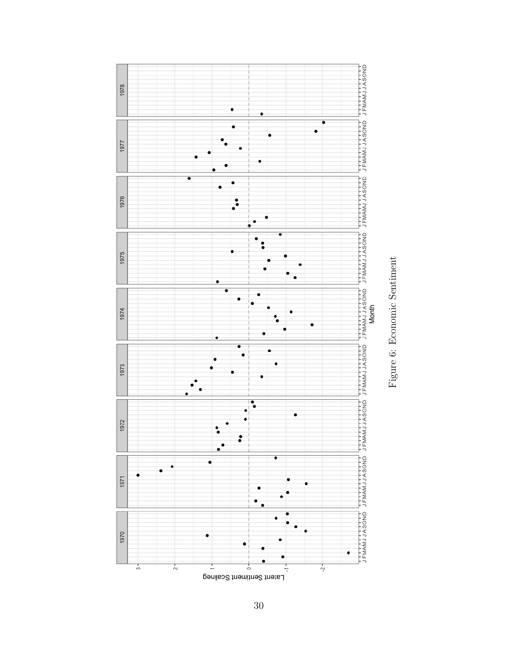



30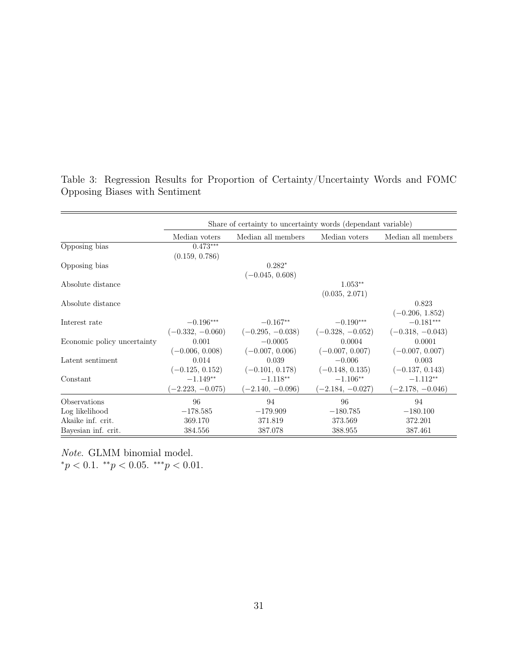|                             | Share of certainty to uncertainty words (dependant variable) |                                                       |                                                       |                                                       |
|-----------------------------|--------------------------------------------------------------|-------------------------------------------------------|-------------------------------------------------------|-------------------------------------------------------|
|                             | Median voters                                                | Median all members                                    | Median voters                                         | Median all members                                    |
| Opposing bias               | $0.473***$<br>(0.159, 0.786)                                 |                                                       |                                                       |                                                       |
| Opposing bias               |                                                              | $0.282*$<br>$(-0.045, 0.608)$                         |                                                       |                                                       |
| Absolute distance           |                                                              |                                                       | $1.053**$<br>(0.035, 2.071)                           |                                                       |
| Absolute distance           |                                                              |                                                       |                                                       | 0.823<br>$(-0.206, 1.852)$                            |
| Interest rate               | $-0.196***$                                                  | $-0.167**$                                            | $-0.190***$                                           | $-0.181***$                                           |
| Economic policy uncertainty | $(-0.332, -0.060)$<br>0.001<br>$(-0.006, 0.008)$             | $(-0.295, -0.038)$<br>$-0.0005$<br>$(-0.007, 0.006)$  | $(-0.328, -0.052)$<br>0.0004<br>$(-0.007, 0.007)$     | $(-0.318, -0.043)$<br>0.0001<br>$(-0.007, 0.007)$     |
| Latent sentiment            | 0.014                                                        | 0.039                                                 | $-0.006$                                              | 0.003                                                 |
| Constant                    | $(-0.125, 0.152)$<br>$-1.149**$<br>$-2.223, -0.075)$         | $(-0.101, 0.178)$<br>$-1.118**$<br>$(-2.140, -0.096)$ | $(-0.148, 0.135)$<br>$-1.106**$<br>$(-2.184, -0.027)$ | $(-0.137, 0.143)$<br>$-1.112**$<br>$(-2.178, -0.046)$ |
| Observations                | 96                                                           | 94                                                    | 96                                                    | 94                                                    |
| Log likelihood              | $-178.585$                                                   | $-179.909$                                            | $-180.785$                                            | $-180.100$                                            |
| Akaike inf. crit.           | 369.170                                                      | 371.819                                               | 373.569                                               | 372.201                                               |
| Bayesian inf. crit.         | 384.556                                                      | 387.078                                               | 388.955                                               | 387.461                                               |

<span id="page-32-0"></span>Table 3: Regression Results for Proportion of Certainty/Uncertainty Words and FOMC Opposing Biases with Sentiment

Note. GLMM binomial model.  ${}^*p < 0.1.$   ${}^{**}p < 0.05.$   ${}^{***}p < 0.01.$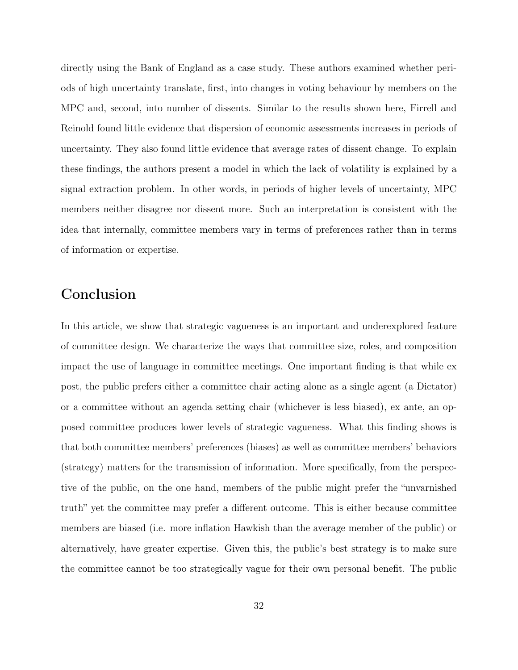directly using the Bank of England as a case study. These authors examined whether periods of high uncertainty translate, first, into changes in voting behaviour by members on the MPC and, second, into number of dissents. Similar to the results shown here, Firrell and Reinold found little evidence that dispersion of economic assessments increases in periods of uncertainty. They also found little evidence that average rates of dissent change. To explain these findings, the authors present a model in which the lack of volatility is explained by a signal extraction problem. In other words, in periods of higher levels of uncertainty, MPC members neither disagree nor dissent more. Such an interpretation is consistent with the idea that internally, committee members vary in terms of preferences rather than in terms of information or expertise.

# Conclusion

In this article, we show that strategic vagueness is an important and underexplored feature of committee design. We characterize the ways that committee size, roles, and composition impact the use of language in committee meetings. One important finding is that while ex post, the public prefers either a committee chair acting alone as a single agent (a Dictator) or a committee without an agenda setting chair (whichever is less biased), ex ante, an opposed committee produces lower levels of strategic vagueness. What this finding shows is that both committee members' preferences (biases) as well as committee members' behaviors (strategy) matters for the transmission of information. More specifically, from the perspective of the public, on the one hand, members of the public might prefer the "unvarnished truth" yet the committee may prefer a different outcome. This is either because committee members are biased (i.e. more inflation Hawkish than the average member of the public) or alternatively, have greater expertise. Given this, the public's best strategy is to make sure the committee cannot be too strategically vague for their own personal benefit. The public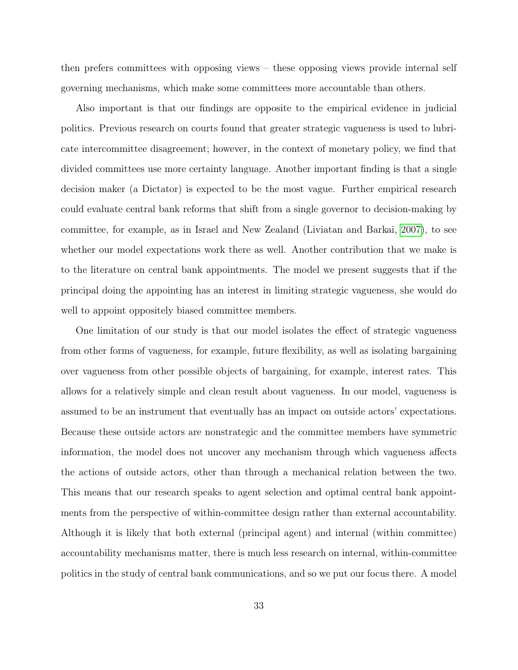then prefers committees with opposing views – these opposing views provide internal self governing mechanisms, which make some committees more accountable than others.

Also important is that our findings are opposite to the empirical evidence in judicial politics. Previous research on courts found that greater strategic vagueness is used to lubricate intercommittee disagreement; however, in the context of monetary policy, we find that divided committees use more certainty language. Another important finding is that a single decision maker (a Dictator) is expected to be the most vague. Further empirical research could evaluate central bank reforms that shift from a single governor to decision-making by committee, for example, as in Israel and New Zealand (Liviatan and Barkai, [2007\)](#page-38-18), to see whether our model expectations work there as well. Another contribution that we make is to the literature on central bank appointments. The model we present suggests that if the principal doing the appointing has an interest in limiting strategic vagueness, she would do well to appoint oppositely biased committee members.

One limitation of our study is that our model isolates the effect of strategic vagueness from other forms of vagueness, for example, future flexibility, as well as isolating bargaining over vagueness from other possible objects of bargaining, for example, interest rates. This allows for a relatively simple and clean result about vagueness. In our model, vagueness is assumed to be an instrument that eventually has an impact on outside actors' expectations. Because these outside actors are nonstrategic and the committee members have symmetric information, the model does not uncover any mechanism through which vagueness affects the actions of outside actors, other than through a mechanical relation between the two. This means that our research speaks to agent selection and optimal central bank appointments from the perspective of within-committee design rather than external accountability. Although it is likely that both external (principal agent) and internal (within committee) accountability mechanisms matter, there is much less research on internal, within-committee politics in the study of central bank communications, and so we put our focus there. A model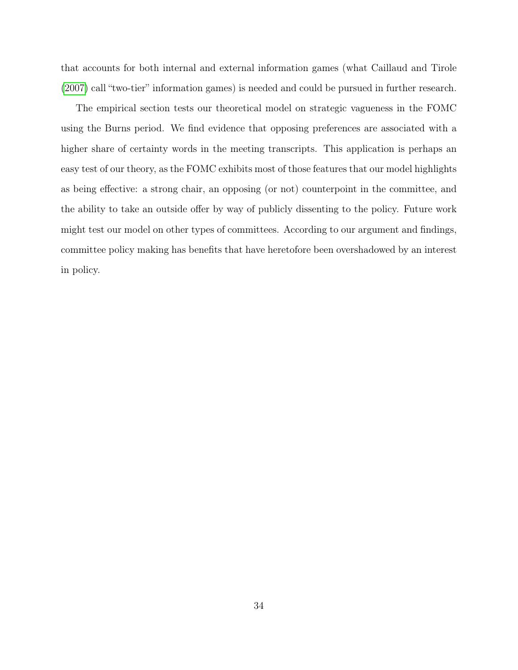that accounts for both internal and external information games (what Caillaud and Tirole [\(2007\)](#page-36-4) call "two-tier" information games) is needed and could be pursued in further research.

The empirical section tests our theoretical model on strategic vagueness in the FOMC using the Burns period. We find evidence that opposing preferences are associated with a higher share of certainty words in the meeting transcripts. This application is perhaps an easy test of our theory, as the FOMC exhibits most of those features that our model highlights as being effective: a strong chair, an opposing (or not) counterpoint in the committee, and the ability to take an outside offer by way of publicly dissenting to the policy. Future work might test our model on other types of committees. According to our argument and findings, committee policy making has benefits that have heretofore been overshadowed by an interest in policy.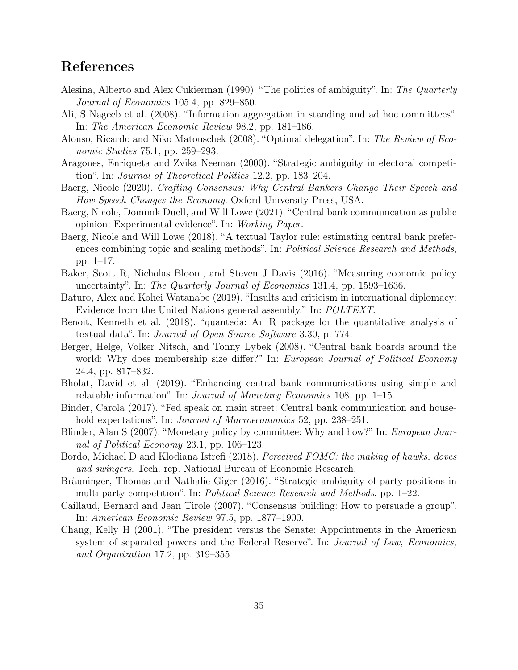# References

- <span id="page-36-7"></span>Alesina, Alberto and Alex Cukierman (1990). "The politics of ambiguity". In: The Quarterly Journal of Economics 105.4, pp. 829–850.
- <span id="page-36-8"></span>Ali, S Nageeb et al. (2008). "Information aggregation in standing and ad hoc committees". In: The American Economic Review 98.2, pp. 181–186.
- <span id="page-36-11"></span>Alonso, Ricardo and Niko Matouschek (2008). "Optimal delegation". In: The Review of Economic Studies 75.1, pp. 259–293.
- <span id="page-36-6"></span>Aragones, Enriqueta and Zvika Neeman (2000). "Strategic ambiguity in electoral competition". In: Journal of Theoretical Politics 12.2, pp. 183–204.
- <span id="page-36-3"></span>Baerg, Nicole (2020). Crafting Consensus: Why Central Bankers Change Their Speech and How Speech Changes the Economy. Oxford University Press, USA.
- <span id="page-36-2"></span>Baerg, Nicole, Dominik Duell, and Will Lowe (2021). "Central bank communication as public opinion: Experimental evidence". In: Working Paper.
- <span id="page-36-14"></span>Baerg, Nicole and Will Lowe (2018). "A textual Taylor rule: estimating central bank preferences combining topic and scaling methods". In: Political Science Research and Methods, pp. 1–17.
- <span id="page-36-16"></span>Baker, Scott R, Nicholas Bloom, and Steven J Davis (2016). "Measuring economic policy uncertainty". In: The Quarterly Journal of Economics 131.4, pp. 1593–1636.
- <span id="page-36-17"></span>Baturo, Alex and Kohei Watanabe (2019). "Insults and criticism in international diplomacy: Evidence from the United Nations general assembly." In: POLTEXT.
- <span id="page-36-15"></span>Benoit, Kenneth et al. (2018). "quanteda: An R package for the quantitative analysis of textual data". In: Journal of Open Source Software 3.30, p. 774.
- <span id="page-36-10"></span>Berger, Helge, Volker Nitsch, and Tonny Lybek (2008). "Central bank boards around the world: Why does membership size differ?" In: *European Journal of Political Economy* 24.4, pp. 817–832.
- <span id="page-36-1"></span>Bholat, David et al. (2019). "Enhancing central bank communications using simple and relatable information". In: Journal of Monetary Economics 108, pp. 1–15.
- <span id="page-36-0"></span>Binder, Carola (2017). "Fed speak on main street: Central bank communication and household expectations". In: *Journal of Macroeconomics* 52, pp. 238–251.
- <span id="page-36-9"></span>Blinder, Alan S (2007). "Monetary policy by committee: Why and how?" In: European Journal of Political Economy 23.1, pp. 106–123.
- <span id="page-36-13"></span>Bordo, Michael D and Klodiana Istrefi (2018). Perceived FOMC: the making of hawks, doves and swingers. Tech. rep. National Bureau of Economic Research.
- <span id="page-36-5"></span>Bräuninger, Thomas and Nathalie Giger (2016). "Strategic ambiguity of party positions in multi-party competition". In: *Political Science Research and Methods*, pp. 1–22.
- <span id="page-36-4"></span>Caillaud, Bernard and Jean Tirole (2007). "Consensus building: How to persuade a group". In: American Economic Review 97.5, pp. 1877–1900.
- <span id="page-36-12"></span>Chang, Kelly H (2001). "The president versus the Senate: Appointments in the American system of separated powers and the Federal Reserve". In: *Journal of Law, Economics*, and Organization 17.2, pp. 319–355.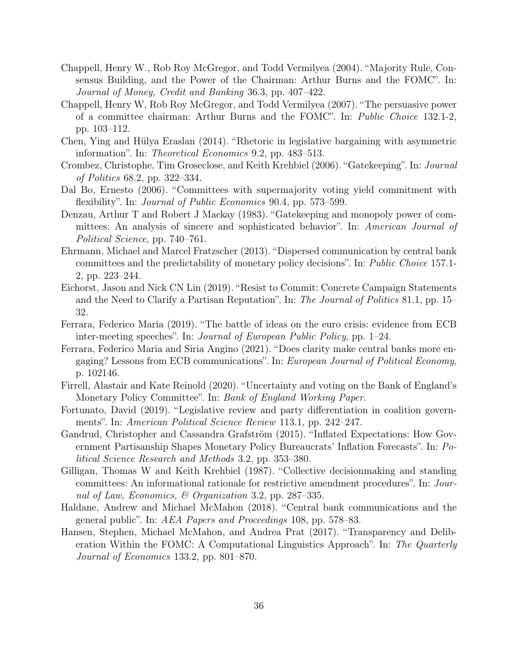- <span id="page-37-12"></span>Chappell, Henry W., Rob Roy McGregor, and Todd Vermilyea (2004). "Majority Rule, Consensus Building, and the Power of the Chairman: Arthur Burns and the FOMC". In: Journal of Money, Credit and Banking 36.3, pp. 407–422.
- <span id="page-37-13"></span>Chappell, Henry W, Rob Roy McGregor, and Todd Vermilyea (2007). "The persuasive power of a committee chairman: Arthur Burns and the FOMC". In: Public Choice 132.1-2, pp. 103–112.
- <span id="page-37-7"></span>Chen, Ying and Hülya Eraslan (2014). "Rhetoric in legislative bargaining with asymmetric information". In: Theoretical Economics 9.2, pp. 483–513.
- <span id="page-37-2"></span>Crombez, Christophe, Tim Groseclose, and Keith Krehbiel (2006). "Gatekeeping". In: Journal of Politics 68.2, pp. 322–334.
- <span id="page-37-8"></span>Dal Bo, Ernesto (2006). "Committees with supermajority voting yield commitment with flexibility". In: *Journal of Public Economics* 90.4, pp. 573–599.
- <span id="page-37-1"></span>Denzau, Arthur T and Robert J Mackay (1983). "Gatekeeping and monopoly power of committees: An analysis of sincere and sophisticated behavior". In: American Journal of Political Science, pp. 740–761.
- <span id="page-37-9"></span>Ehrmann, Michael and Marcel Fratzscher (2013). "Dispersed communication by central bank committees and the predictability of monetary policy decisions". In: *Public Choice* 157.1-2, pp. 223–244.
- <span id="page-37-4"></span>Eichorst, Jason and Nick CN Lin (2019). "Resist to Commit: Concrete Campaign Statements and the Need to Clarify a Partisan Reputation". In: The Journal of Politics 81.1, pp. 15– 32.
- <span id="page-37-11"></span>Ferrara, Federico Maria (2019). "The battle of ideas on the euro crisis: evidence from ECB inter-meeting speeches". In: Journal of European Public Policy, pp. 1–24.
- <span id="page-37-5"></span>Ferrara, Federico Maria and Siria Angino (2021). "Does clarity make central banks more engaging? Lessons from ECB communications". In: *European Journal of Political Economy*, p. 102146.
- <span id="page-37-15"></span>Firrell, Alastair and Kate Reinold (2020). "Uncertainty and voting on the Bank of England's Monetary Policy Committee". In: Bank of England Working Paper.
- <span id="page-37-3"></span>Fortunato, David (2019). "Legislative review and party differentiation in coalition governments". In: American Political Science Review 113.1, pp. 242–247.
- <span id="page-37-14"></span>Gandrud, Christopher and Cassandra Grafström (2015). "Inflated Expectations: How Government Partisanship Shapes Monetary Policy Bureaucrats' Inflation Forecasts". In: Political Science Research and Methods 3.2, pp. 353–380.
- <span id="page-37-6"></span>Gilligan, Thomas W and Keith Krehbiel (1987). "Collective decisionmaking and standing committees: An informational rationale for restrictive amendment procedures". In: Journal of Law, Economics, & Organization 3.2, pp. 287–335.
- <span id="page-37-10"></span>Haldane, Andrew and Michael McMahon (2018). "Central bank communications and the general public". In: AEA Papers and Proceedings 108, pp. 578–83.
- <span id="page-37-0"></span>Hansen, Stephen, Michael McMahon, and Andrea Prat (2017). "Transparency and Deliberation Within the FOMC: A Computational Linguistics Approach". In: The Quarterly Journal of Economics 133.2, pp. 801–870.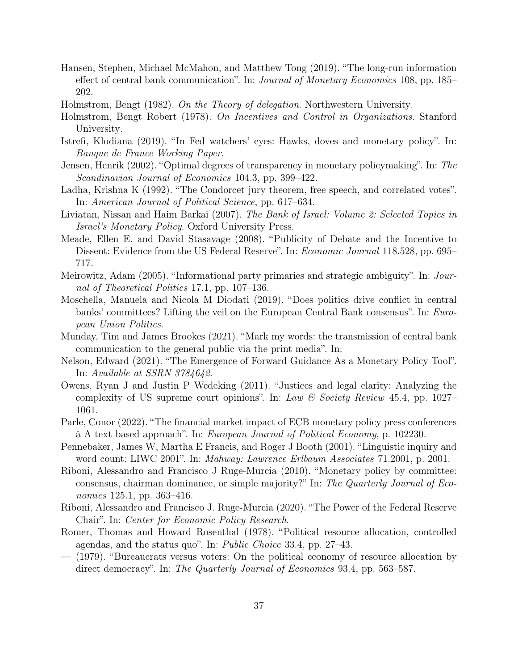- <span id="page-38-10"></span>Hansen, Stephen, Michael McMahon, and Matthew Tong (2019). "The long-run information effect of central bank communication". In: *Journal of Monetary Economics* 108, pp. 185– 202.
- <span id="page-38-13"></span>Holmstrom, Bengt (1982). On the Theory of delegation. Northwestern University.
- <span id="page-38-12"></span>Holmstrom, Bengt Robert (1978). On Incentives and Control in Organizations. Stanford University.
- <span id="page-38-16"></span>Istrefi, Klodiana (2019). "In Fed watchers' eyes: Hawks, doves and monetary policy". In: Banque de France Working Paper.
- <span id="page-38-0"></span>Jensen, Henrik (2002). "Optimal degrees of transparency in monetary policymaking". In: The Scandinavian Journal of Economics 104.3, pp. 399–422.
- <span id="page-38-9"></span>Ladha, Krishna K (1992). "The Condorcet jury theorem, free speech, and correlated votes". In: American Journal of Political Science, pp. 617–634.
- <span id="page-38-18"></span>Liviatan, Nissan and Haim Barkai (2007). The Bank of Israel: Volume 2: Selected Topics in Israel's Monetary Policy. Oxford University Press.
- <span id="page-38-11"></span>Meade, Ellen E. and David Stasavage (2008). "Publicity of Debate and the Incentive to Dissent: Evidence from the US Federal Reserve". In: *Economic Journal* 118.528, pp. 695– 717.
- <span id="page-38-6"></span>Meirowitz, Adam (2005). "Informational party primaries and strategic ambiguity". In: Journal of Theoretical Politics 17.1, pp. 107–136.
- <span id="page-38-14"></span>Moschella, Manuela and Nicola M Diodati (2019). "Does politics drive conflict in central banks' committees? Lifting the veil on the European Central Bank consensus". In: European Union Politics.
- <span id="page-38-7"></span>Munday, Tim and James Brookes (2021). "Mark my words: the transmission of central bank communication to the general public via the print media". In:
- <span id="page-38-2"></span>Nelson, Edward (2021). "The Emergence of Forward Guidance As a Monetary Policy Tool". In: Available at SSRN 3784642.
- <span id="page-38-3"></span>Owens, Ryan J and Justin P Wedeking (2011). "Justices and legal clarity: Analyzing the complexity of US supreme court opinions". In: Law & Society Review 45.4, pp. 1027– 1061.
- <span id="page-38-8"></span>Parle, Conor (2022). "The financial market impact of ECB monetary policy press conferences â A text based approach". In: European Journal of Political Economy, p. 102230.
- <span id="page-38-17"></span>Pennebaker, James W, Martha E Francis, and Roger J Booth (2001). "Linguistic inquiry and word count: LIWC 2001". In: *Mahway: Lawrence Erlbaum Associates* 71.2001, p. 2001.
- <span id="page-38-1"></span>Riboni, Alessandro and Francisco J Ruge-Murcia (2010). "Monetary policy by committee: consensus, chairman dominance, or simple majority?" In: The Quarterly Journal of Economics 125.1, pp. 363–416.
- <span id="page-38-15"></span>Riboni, Alessandro and Francisco J. Ruge-Murcia (2020). "The Power of the Federal Reserve Chair". In: Center for Economic Policy Research.
- <span id="page-38-4"></span>Romer, Thomas and Howard Rosenthal (1978). "Political resource allocation, controlled agendas, and the status quo". In: *Public Choice* 33.4, pp. 27–43.
- <span id="page-38-5"></span>— (1979). "Bureaucrats versus voters: On the political economy of resource allocation by direct democracy". In: The Quarterly Journal of Economics 93.4, pp. 563–587.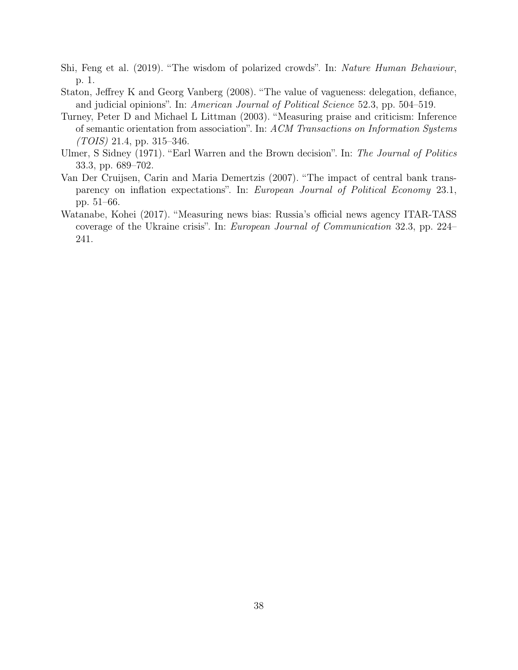- <span id="page-39-2"></span>Shi, Feng et al. (2019). "The wisdom of polarized crowds". In: Nature Human Behaviour, p. 1.
- <span id="page-39-1"></span>Staton, Jeffrey K and Georg Vanberg (2008). "The value of vagueness: delegation, defiance, and judicial opinions". In: American Journal of Political Science 52.3, pp. 504–519.
- <span id="page-39-5"></span>Turney, Peter D and Michael L Littman (2003). "Measuring praise and criticism: Inference of semantic orientation from association". In: ACM Transactions on Information Systems  $(TOIS)$  21.4, pp. 315–346.
- <span id="page-39-0"></span>Ulmer, S Sidney (1971). "Earl Warren and the Brown decision". In: The Journal of Politics 33.3, pp. 689–702.
- <span id="page-39-3"></span>Van Der Cruijsen, Carin and Maria Demertzis (2007). "The impact of central bank transparency on inflation expectations". In: European Journal of Political Economy 23.1, pp. 51–66.
- <span id="page-39-4"></span>Watanabe, Kohei (2017). "Measuring news bias: Russia's official news agency ITAR-TASS coverage of the Ukraine crisis". In: European Journal of Communication 32.3, pp. 224– 241.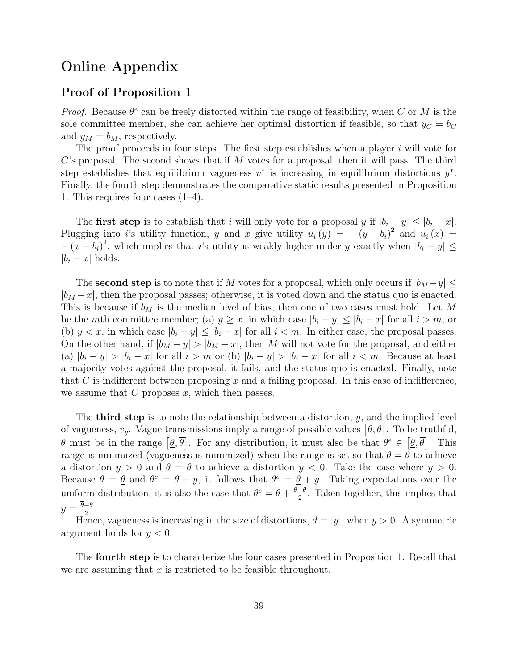# Online Appendix

# Proof of Proposition 1

Proof. Because  $\theta^e$  can be freely distorted within the range of feasibility, when C or M is the sole committee member, she can achieve her optimal distortion if feasible, so that  $y_C = b_C$ and  $y_M = b_M$ , respectively.

The proof proceeds in four steps. The first step establishes when a player  $i$  will vote for C's proposal. The second shows that if  $M$  votes for a proposal, then it will pass. The third step establishes that equilibrium vagueness  $v^*$  is increasing in equilibrium distortions  $y^*$ . Finally, the fourth step demonstrates the comparative static results presented in Proposition 1. This requires four cases (1–4).

The **first step** is to establish that i will only vote for a proposal y if  $|b_i - y| \leq |b_i - x|$ . Plugging into i's utility function, y and x give utility  $u_i(y) = -(y - b_i)^2$  and  $u_i(x) =$  $-(x - b_i)^2$ , which implies that i's utility is weakly higher under y exactly when  $|b_i - y| \le$  $|b_i - x|$  holds.

The second step is to note that if M votes for a proposal, which only occurs if  $|b_M - y| \leq$  $|b_M - x|$ , then the proposal passes; otherwise, it is voted down and the status quo is enacted. This is because if  $b_M$  is the median level of bias, then one of two cases must hold. Let M be the mth committee member; (a)  $y \geq x$ , in which case  $|b_i - y| \leq |b_i - x|$  for all  $i > m$ , or (b)  $y < x$ , in which case  $|b_i - y| \leq |b_i - x|$  for all  $i < m$ . In either case, the proposal passes. On the other hand, if  $|b_M - y| > |b_M - x|$ , then M will not vote for the proposal, and either (a)  $|b_i - y| > |b_i - x|$  for all  $i > m$  or (b)  $|b_i - y| > |b_i - x|$  for all  $i < m$ . Because at least a majority votes against the proposal, it fails, and the status quo is enacted. Finally, note that C is indifferent between proposing x and a failing proposal. In this case of indifference, we assume that  $C$  proposes  $x$ , which then passes.

The **third step** is to note the relationship between a distortion,  $y$ , and the implied level of vagueness,  $v_y$ . Vague transmissions imply a range of possible values  $[\underline{\theta}, \overline{\theta}]$ . To be truthful,  $\theta$  must be in the range  $[\underline{\theta}, \overline{\theta}]$ . For any distribution, it must also be that  $\theta^e \in [\underline{\theta}, \overline{\theta}]$ . This range is minimized (vagueness is minimized) when the range is set so that  $\theta = \theta$  to achieve a distortion  $y > 0$  and  $\theta = \overline{\theta}$  to achieve a distortion  $y < 0$ . Take the case where  $y > 0$ . Because  $\theta = \theta$  and  $\theta^e = \theta + y$ , it follows that  $\theta^e = \theta + y$ . Taking expectations over the uniform distribution, it is also the case that  $\theta^e = \theta + \frac{\theta - \theta}{2}$  $\frac{-\theta}{2}$ . Taken together, this implies that  $y = \frac{\theta - \underline{\theta}}{2}$  $\frac{-\underline{\theta}}{2}$ .

Hence, vagueness is increasing in the size of distortions,  $d = |y|$ , when  $y > 0$ . A symmetric argument holds for  $y < 0$ .

The fourth step is to characterize the four cases presented in Proposition 1. Recall that we are assuming that  $x$  is restricted to be feasible throughout.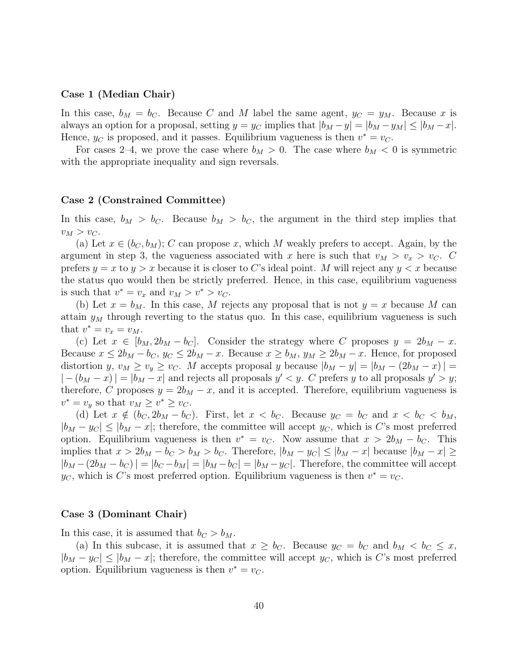### Case 1 (Median Chair)

In this case,  $b_M = b_C$ . Because C and M label the same agent,  $y_C = y_M$ . Because x is always an option for a proposal, setting  $y = y_C$  implies that  $|b_M - y| = |b_M - y_M| \le |b_M - x|$ . Hence,  $y_C$  is proposed, and it passes. Equilibrium vagueness is then  $v^* = v_C$ .

For cases 2–4, we prove the case where  $b_M > 0$ . The case where  $b_M < 0$  is symmetric with the appropriate inequality and sign reversals.

### Case 2 (Constrained Committee)

In this case,  $b_M > b_C$ . Because  $b_M > b_C$ , the argument in the third step implies that  $v_M > v_C.$ 

(a) Let  $x \in (b_C, b_M)$ ; C can propose x, which M weakly prefers to accept. Again, by the argument in step 3, the vagueness associated with x here is such that  $v_M > v_x > v_C$ . C prefers  $y = x$  to  $y > x$  because it is closer to C's ideal point. M will reject any  $y < x$  because the status quo would then be strictly preferred. Hence, in this case, equilibrium vagueness is such that  $v^* = v_x$  and  $v_M > v^* > v_C$ .

(b) Let  $x = b_M$ . In this case, M rejects any proposal that is not  $y = x$  because M can attain  $y_M$  through reverting to the status quo. In this case, equilibrium vagueness is such that  $v^* = v_x = v_M$ .

(c) Let  $x \in [b_M, 2b_M - b_C]$ . Consider the strategy where C proposes  $y = 2b_M - x$ . Because  $x \le 2b_M - b_C$ ,  $y_C \le 2b_M - x$ . Because  $x \ge b_M$ ,  $y_M \ge 2b_M - x$ . Hence, for proposed distortion y,  $v_M \ge v_y \ge v_C$ . M accepts proposal y because  $|b_M - y| = |b_M - (2b_M - x)| =$  $|-(b_M - x)| = |b_M - x|$  and rejects all proposals  $y' < y$ . C prefers y to all proposals  $y' > y$ ; therefore, C proposes  $y = 2b<sub>M</sub> - x$ , and it is accepted. Therefore, equilibrium vagueness is  $v^* = v_y$  so that  $v_M \ge v^* \ge v_C$ .

(d) Let  $x \notin (b_C, 2b_M - b_C)$ . First, let  $x < b_C$ . Because  $y_C = b_C$  and  $x < b_C < b_M$ ,  $|b_M - y_C| \leq |b_M - x|$ ; therefore, the committee will accept  $y_C$ , which is C's most preferred option. Equilibrium vagueness is then  $v^* = v_C$ . Now assume that  $x > 2b_M - b_C$ . This implies that  $x > 2b_M - b_C > b_M > b_C$ . Therefore,  $|b_M - y_C| \le |b_M - x|$  because  $|b_M - x| \ge$  $|b_M - (2b_M - b_C)| = |b_C - b_M| = |b_M - b_C| = |b_M - y_C|$ . Therefore, the committee will accept  $y_C$ , which is C's most preferred option. Equilibrium vagueness is then  $v^* = v_C$ .

### Case 3 (Dominant Chair)

In this case, it is assumed that  $b_C > b_M$ .

(a) In this subcase, it is assumed that  $x \geq b_C$ . Because  $y_C = b_C$  and  $b_M < b_C \leq x$ ,  $|b_M - y_C| \leq |b_M - x|$ ; therefore, the committee will accept  $y_C$ , which is C's most preferred option. Equilibrium vagueness is then  $v^* = v_C$ .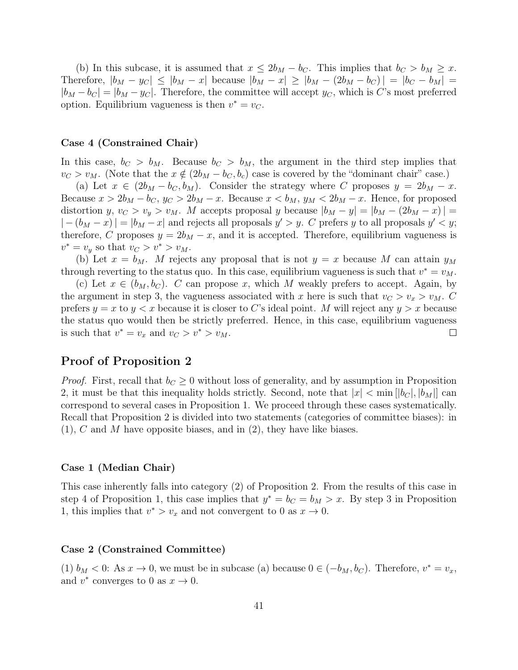(b) In this subcase, it is assumed that  $x \leq 2b_M - b_C$ . This implies that  $b_C > b_M \geq x$ . Therefore,  $|b_M - y_C| \leq |b_M - x|$  because  $|b_M - x| \geq |b_M - (2b_M - b_C)| = |b_C - b_M|$  $|b_M - b_C| = |b_M - y_C|$ . Therefore, the committee will accept  $y_C$ , which is C's most preferred option. Equilibrium vagueness is then  $v^* = v_C$ .

#### Case 4 (Constrained Chair)

In this case,  $b_C > b_M$ . Because  $b_C > b_M$ , the argument in the third step implies that  $v_C > v_M$ . (Note that the  $x \notin (2b_M - b_C, b_c)$  case is covered by the "dominant chair" case.)

(a) Let  $x \in (2b_M - b_C, b_M)$ . Consider the strategy where C proposes  $y = 2b_M - x$ . Because  $x > 2b_M - b_C$ ,  $y_C > 2b_M - x$ . Because  $x < b_M$ ,  $y_M < 2b_M - x$ . Hence, for proposed distortion y,  $v_C > v_y > v_M$ . M accepts proposal y because  $|b_M - y| = |b_M - (2b_M - x)| =$  $|-(b_M - x)| = |b_M - x|$  and rejects all proposals  $y' > y$ . C prefers y to all proposals  $y' < y$ ; therefore, C proposes  $y = 2b<sub>M</sub> - x$ , and it is accepted. Therefore, equilibrium vagueness is  $v^* = v_y$  so that  $v_C > v^* > v_M$ .

(b) Let  $x = b_M$ . M rejects any proposal that is not  $y = x$  because M can attain  $y_M$ through reverting to the status quo. In this case, equilibrium vagueness is such that  $v^* = v_M$ .

(c) Let  $x \in (b_M, b_C)$ . C can propose x, which M weakly prefers to accept. Again, by the argument in step 3, the vagueness associated with x here is such that  $v_C > v_x > v_M$ . C prefers  $y = x$  to  $y < x$  because it is closer to C's ideal point. M will reject any  $y > x$  because the status quo would then be strictly preferred. Hence, in this case, equilibrium vagueness is such that  $v^* = v_x$  and  $v_C > v^* > v_M$ .  $\Box$ 

# Proof of Proposition 2

*Proof.* First, recall that  $b_C \geq 0$  without loss of generality, and by assumption in Proposition 2, it must be that this inequality holds strictly. Second, note that  $|x| < \min |b_C|, |b_M||$  can correspond to several cases in Proposition 1. We proceed through these cases systematically. Recall that Proposition 2 is divided into two statements (categories of committee biases): in  $(1)$ , C and M have opposite biases, and in  $(2)$ , they have like biases.

### Case 1 (Median Chair)

This case inherently falls into category (2) of Proposition 2. From the results of this case in step 4 of Proposition 1, this case implies that  $y^* = b_C = b_M > x$ . By step 3 in Proposition 1, this implies that  $v^* > v_x$  and not convergent to 0 as  $x \to 0$ .

### Case 2 (Constrained Committee)

(1)  $b_M < 0$ : As  $x \to 0$ , we must be in subcase (a) because  $0 \in (-b_M, b_C)$ . Therefore,  $v^* = v_x$ , and  $v^*$  converges to 0 as  $x \to 0$ .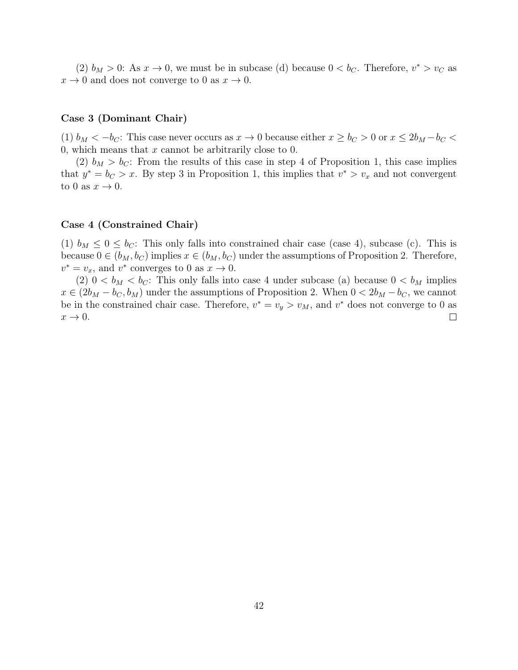(2)  $b_M > 0$ : As  $x \to 0$ , we must be in subcase (d) because  $0 < b_C$ . Therefore,  $v^* > v_C$  as  $x \to 0$  and does not converge to 0 as  $x \to 0$ .

### Case 3 (Dominant Chair)

(1)  $b_M < -b_C$ : This case never occurs as  $x \to 0$  because either  $x \ge b_C > 0$  or  $x \le 2b_M - b_C <$ 0, which means that  $x$  cannot be arbitrarily close to 0.

(2)  $b_M > b_C$ : From the results of this case in step 4 of Proposition 1, this case implies that  $y^* = b_C > x$ . By step 3 in Proposition 1, this implies that  $v^* > v_x$  and not convergent to 0 as  $x \to 0$ .

### Case 4 (Constrained Chair)

(1)  $b_M \leq 0 \leq b_C$ : This only falls into constrained chair case (case 4), subcase (c). This is because  $0 \in (b_M, b_C)$  implies  $x \in (b_M, b_C)$  under the assumptions of Proposition 2. Therefore,  $v^* = v_x$ , and  $v^*$  converges to 0 as  $x \to 0$ .

(2)  $0 < b_M < b_C$ : This only falls into case 4 under subcase (a) because  $0 < b_M$  implies  $x \in (2b_M - b_C, b_M)$  under the assumptions of Proposition 2. When  $0 < 2b_M - b_C$ , we cannot be in the constrained chair case. Therefore,  $v^* = v_y > v_M$ , and  $v^*$  does not converge to 0 as  $x \rightarrow 0$ .  $\Box$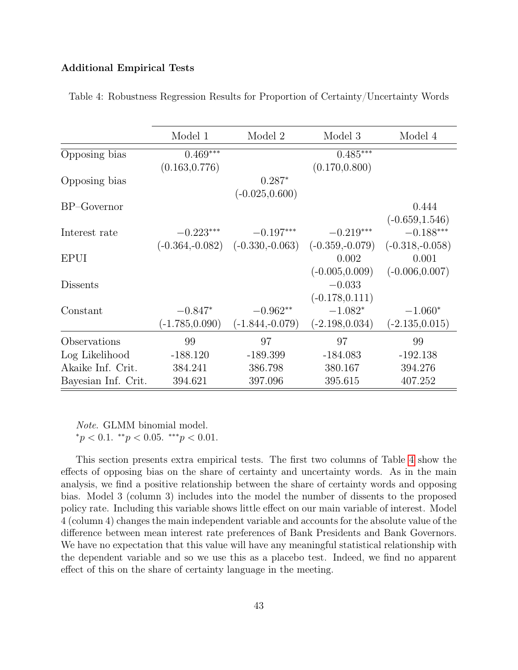# Additional Empirical Tests

|                     | Model 1           | Model 2           | Model 3           | Model 4           |
|---------------------|-------------------|-------------------|-------------------|-------------------|
| Opposing bias       | $0.469***$        |                   | $0.485***$        |                   |
|                     | (0.163, 0.776)    |                   | (0.170, 0.800)    |                   |
| Opposing bias       |                   | $0.287*$          |                   |                   |
|                     |                   | $(-0.025, 0.600)$ |                   |                   |
| $BP-Governor$       |                   |                   |                   | 0.444             |
|                     |                   |                   |                   | $(-0.659, 1.546)$ |
| Interest rate       | $-0.223***$       | $-0.197***$       | $-0.219***$       | $-0.188***$       |
|                     | $(-0.364,-0.082)$ | $(-0.330,-0.063)$ | $(-0.359,-0.079)$ | $(-0.318,-0.058)$ |
| <b>EPUI</b>         |                   |                   | 0.002             | 0.001             |
|                     |                   |                   | $(-0.005, 0.009)$ | $(-0.006, 0.007)$ |
| <b>Dissents</b>     |                   |                   | $-0.033$          |                   |
|                     |                   |                   | $(-0.178, 0.111)$ |                   |
| Constant            | $-0.847*$         | $-0.962**$        | $-1.082*$         | $-1.060*$         |
|                     | $(-1.785, 0.090)$ | $(-1.844,-0.079)$ | $(-2.198, 0.034)$ | $(-2.135, 0.015)$ |
| Observations        | 99                | 97                | 97                | 99                |
| Log Likelihood      | $-188.120$        | $-189.399$        | $-184.083$        | $-192.138$        |
| Akaike Inf. Crit.   | 384.241           | 386.798           | 380.167           | 394.276           |
| Bayesian Inf. Crit. | 394.621           | 397.096           | 395.615           | 407.252           |

<span id="page-44-0"></span>Table 4: Robustness Regression Results for Proportion of Certainty/Uncertainty Words

Note. GLMM binomial model.  ${}^*p < 0.1.$   ${}^{**}p < 0.05.$   ${}^{***}p < 0.01.$ 

This section presents extra empirical tests. The first two columns of Table [4](#page-44-0) show the effects of opposing bias on the share of certainty and uncertainty words. As in the main analysis, we find a positive relationship between the share of certainty words and opposing bias. Model 3 (column 3) includes into the model the number of dissents to the proposed policy rate. Including this variable shows little effect on our main variable of interest. Model 4 (column 4) changes the main independent variable and accounts for the absolute value of the difference between mean interest rate preferences of Bank Presidents and Bank Governors. We have no expectation that this value will have any meaningful statistical relationship with the dependent variable and so we use this as a placebo test. Indeed, we find no apparent effect of this on the share of certainty language in the meeting.